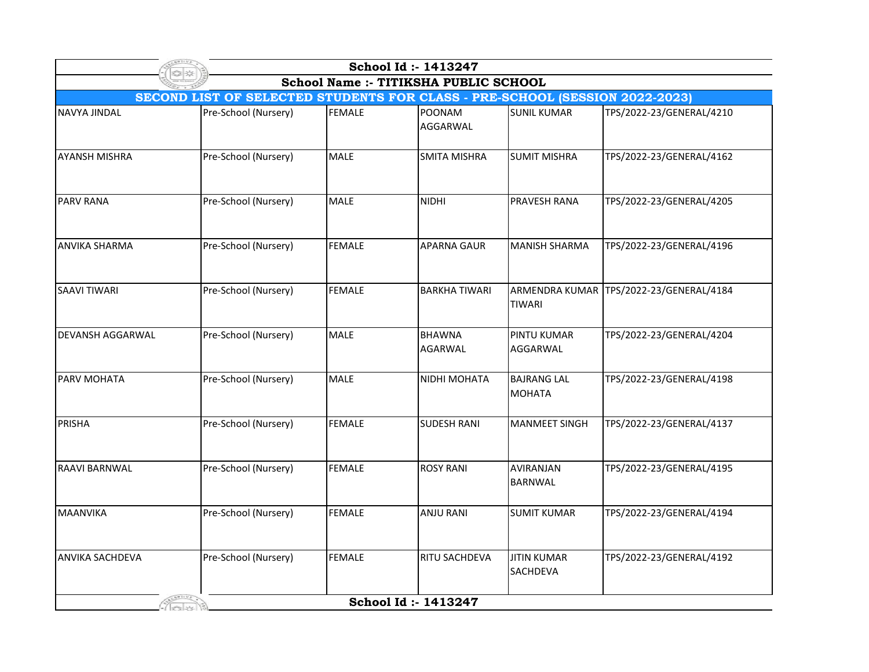| School Id: 1413247                    |                                                                             |               |                                  |                                       |                                         |  |  |  |  |
|---------------------------------------|-----------------------------------------------------------------------------|---------------|----------------------------------|---------------------------------------|-----------------------------------------|--|--|--|--|
| School Name :- TITIKSHA PUBLIC SCHOOL |                                                                             |               |                                  |                                       |                                         |  |  |  |  |
|                                       | SECOND LIST OF SELECTED STUDENTS FOR CLASS - PRE-SCHOOL (SESSION 2022-2023) |               |                                  |                                       |                                         |  |  |  |  |
| <b>NAVYA JINDAL</b>                   | Pre-School (Nursery)                                                        | <b>FEMALE</b> | <b>POONAM</b><br><b>AGGARWAL</b> | <b>SUNIL KUMAR</b>                    | TPS/2022-23/GENERAL/4210                |  |  |  |  |
| <b>AYANSH MISHRA</b>                  | Pre-School (Nursery)                                                        | MALE          | <b>SMITA MISHRA</b>              | <b>SUMIT MISHRA</b>                   | TPS/2022-23/GENERAL/4162                |  |  |  |  |
| <b>PARV RANA</b>                      | Pre-School (Nursery)                                                        | MALE          | <b>NIDHI</b>                     | PRAVESH RANA                          | TPS/2022-23/GENERAL/4205                |  |  |  |  |
| <b>ANVIKA SHARMA</b>                  | Pre-School (Nursery)                                                        | <b>FEMALE</b> | <b>APARNA GAUR</b>               | <b>MANISH SHARMA</b>                  | TPS/2022-23/GENERAL/4196                |  |  |  |  |
| <b>SAAVI TIWARI</b>                   | Pre-School (Nursery)                                                        | <b>FEMALE</b> | <b>BARKHA TIWARI</b>             | <b>TIWARI</b>                         | ARMENDRA KUMAR TPS/2022-23/GENERAL/4184 |  |  |  |  |
| <b>DEVANSH AGGARWAL</b>               | Pre-School (Nursery)                                                        | MALE          | <b>BHAWNA</b><br><b>AGARWAL</b>  | <b>PINTU KUMAR</b><br>AGGARWAL        | TPS/2022-23/GENERAL/4204                |  |  |  |  |
| <b>PARV MOHATA</b>                    | Pre-School (Nursery)                                                        | <b>MALE</b>   | NIDHI MOHATA                     | <b>BAJRANG LAL</b><br><b>MOHATA</b>   | TPS/2022-23/GENERAL/4198                |  |  |  |  |
| PRISHA                                | Pre-School (Nursery)                                                        | <b>FEMALE</b> | <b>SUDESH RANI</b>               | <b>MANMEET SINGH</b>                  | TPS/2022-23/GENERAL/4137                |  |  |  |  |
| <b>RAAVI BARNWAL</b>                  | Pre-School (Nursery)                                                        | <b>FEMALE</b> | <b>ROSY RANI</b>                 | <b>AVIRANJAN</b><br><b>BARNWAL</b>    | TPS/2022-23/GENERAL/4195                |  |  |  |  |
| <b>MAANVIKA</b>                       | Pre-School (Nursery)                                                        | <b>FEMALE</b> | <b>ANJU RANI</b>                 | <b>SUMIT KUMAR</b>                    | TPS/2022-23/GENERAL/4194                |  |  |  |  |
| <b>ANVIKA SACHDEVA</b>                | Pre-School (Nursery)                                                        | <b>FEMALE</b> | RITU SACHDEVA                    | <b>JITIN KUMAR</b><br><b>SACHDEVA</b> | TPS/2022-23/GENERAL/4192                |  |  |  |  |
|                                       |                                                                             |               | School Id: 1413247               |                                       |                                         |  |  |  |  |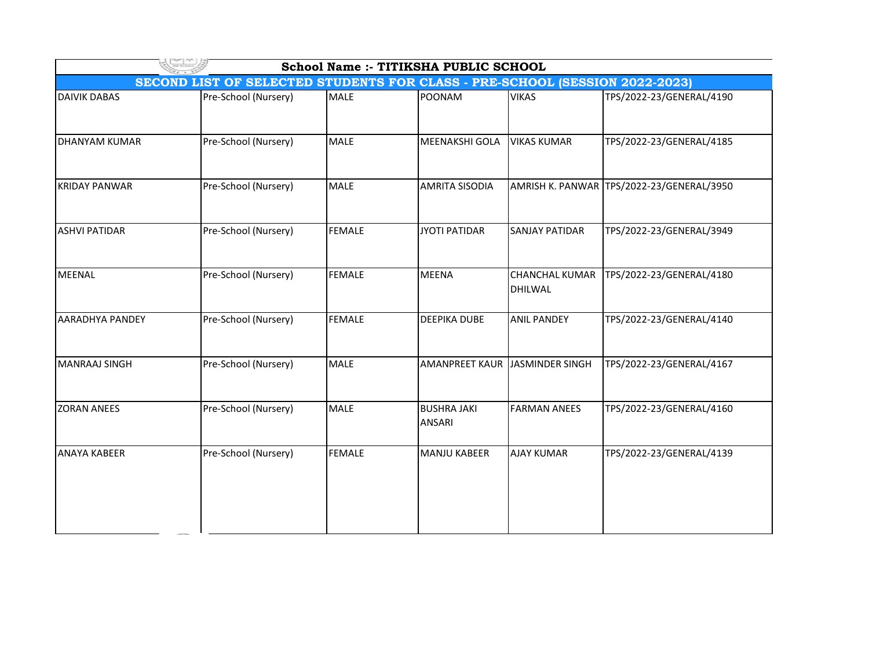| <b>School Name :- TITIKSHA PUBLIC SCHOOL</b>                                |                      |               |                                     |                                  |                                           |  |  |  |
|-----------------------------------------------------------------------------|----------------------|---------------|-------------------------------------|----------------------------------|-------------------------------------------|--|--|--|
| SECOND LIST OF SELECTED STUDENTS FOR CLASS - PRE-SCHOOL (SESSION 2022-2023) |                      |               |                                     |                                  |                                           |  |  |  |
| <b>DAIVIK DABAS</b>                                                         | Pre-School (Nursery) | <b>MALE</b>   | <b>POONAM</b>                       | <b>VIKAS</b>                     | TPS/2022-23/GENERAL/4190                  |  |  |  |
| <b>DHANYAM KUMAR</b>                                                        | Pre-School (Nursery) | <b>MALE</b>   | MEENAKSHI GOLA                      | <b>VIKAS KUMAR</b>               | TPS/2022-23/GENERAL/4185                  |  |  |  |
| <b>KRIDAY PANWAR</b>                                                        | Pre-School (Nursery) | <b>MALE</b>   | <b>AMRITA SISODIA</b>               |                                  | AMRISH K. PANWAR TPS/2022-23/GENERAL/3950 |  |  |  |
| <b>ASHVI PATIDAR</b>                                                        | Pre-School (Nursery) | <b>FEMALE</b> | <b>JYOTI PATIDAR</b>                | <b>SANJAY PATIDAR</b>            | TPS/2022-23/GENERAL/3949                  |  |  |  |
| <b>MEENAL</b>                                                               | Pre-School (Nursery) | <b>FEMALE</b> | <b>MEENA</b>                        | <b>CHANCHAL KUMAR</b><br>DHILWAL | TPS/2022-23/GENERAL/4180                  |  |  |  |
| AARADHYA PANDEY                                                             | Pre-School (Nursery) | <b>FEMALE</b> | <b>DEEPIKA DUBE</b>                 | <b>ANIL PANDEY</b>               | TPS/2022-23/GENERAL/4140                  |  |  |  |
| <b>MANRAAJ SINGH</b>                                                        | Pre-School (Nursery) | <b>MALE</b>   | <b>AMANPREET KAUR</b>               | JASMINDER SINGH                  | TPS/2022-23/GENERAL/4167                  |  |  |  |
| <b>ZORAN ANEES</b>                                                          | Pre-School (Nursery) | <b>MALE</b>   | <b>BUSHRA JAKI</b><br><b>ANSARI</b> | <b>FARMAN ANEES</b>              | TPS/2022-23/GENERAL/4160                  |  |  |  |
| <b>ANAYA KABEER</b>                                                         | Pre-School (Nursery) | <b>FEMALE</b> | MANJU KABEER                        | <b>AJAY KUMAR</b>                | TPS/2022-23/GENERAL/4139                  |  |  |  |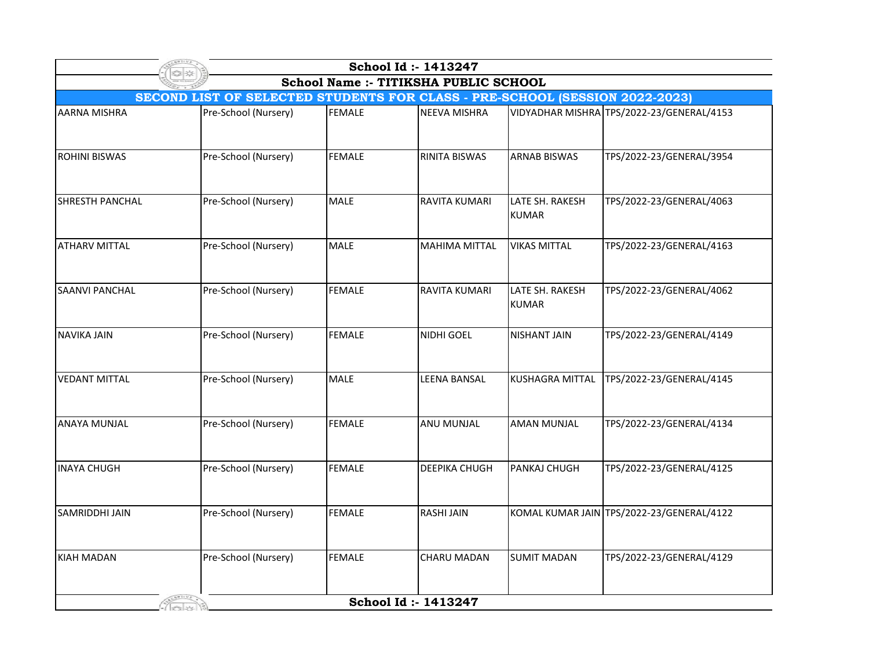| School Id: 1413247                                                                 |                      |               |                      |                                 |                                           |  |  |  |
|------------------------------------------------------------------------------------|----------------------|---------------|----------------------|---------------------------------|-------------------------------------------|--|--|--|
| School Name :- TITIKSHA PUBLIC SCHOOL                                              |                      |               |                      |                                 |                                           |  |  |  |
| <b>SECOND LIST OF SELECTED STUDENTS FOR CLASS - PRE-SCHOOL (SESSION 2022-2023)</b> |                      |               |                      |                                 |                                           |  |  |  |
| <b>AARNA MISHRA</b>                                                                | Pre-School (Nursery) | <b>FEMALE</b> | <b>NEEVA MISHRA</b>  |                                 | VIDYADHAR MISHRA TPS/2022-23/GENERAL/4153 |  |  |  |
| <b>ROHINI BISWAS</b>                                                               | Pre-School (Nursery) | <b>FEMALE</b> | <b>RINITA BISWAS</b> | <b>ARNAB BISWAS</b>             | TPS/2022-23/GENERAL/3954                  |  |  |  |
| <b>SHRESTH PANCHAL</b>                                                             | Pre-School (Nursery) | <b>MALE</b>   | <b>RAVITA KUMARI</b> | LATE SH. RAKESH<br><b>KUMAR</b> | TPS/2022-23/GENERAL/4063                  |  |  |  |
| <b>ATHARV MITTAL</b>                                                               | Pre-School (Nursery) | <b>MALE</b>   | <b>MAHIMA MITTAL</b> | <b>VIKAS MITTAL</b>             | TPS/2022-23/GENERAL/4163                  |  |  |  |
| <b>SAANVI PANCHAL</b>                                                              | Pre-School (Nursery) | <b>FEMALE</b> | <b>RAVITA KUMARI</b> | LATE SH. RAKESH<br><b>KUMAR</b> | TPS/2022-23/GENERAL/4062                  |  |  |  |
| <b>NAVIKA JAIN</b>                                                                 | Pre-School (Nursery) | <b>FEMALE</b> | NIDHI GOEL           | <b>NISHANT JAIN</b>             | TPS/2022-23/GENERAL/4149                  |  |  |  |
| <b>VEDANT MITTAL</b>                                                               | Pre-School (Nursery) | <b>MALE</b>   | <b>LEENA BANSAL</b>  | <b>KUSHAGRA MITTAL</b>          | TPS/2022-23/GENERAL/4145                  |  |  |  |
| <b>ANAYA MUNJAL</b>                                                                | Pre-School (Nursery) | <b>FEMALE</b> | <b>ANU MUNJAL</b>    | <b>AMAN MUNJAL</b>              | TPS/2022-23/GENERAL/4134                  |  |  |  |
| <b>INAYA CHUGH</b>                                                                 | Pre-School (Nursery) | <b>FEMALE</b> | <b>DEEPIKA CHUGH</b> | PANKAJ CHUGH                    | TPS/2022-23/GENERAL/4125                  |  |  |  |
| <b>SAMRIDDHI JAIN</b>                                                              | Pre-School (Nursery) | <b>FEMALE</b> | <b>RASHI JAIN</b>    |                                 | KOMAL KUMAR JAIN TPS/2022-23/GENERAL/4122 |  |  |  |
| <b>KIAH MADAN</b>                                                                  | Pre-School (Nursery) | <b>FEMALE</b> | <b>CHARU MADAN</b>   | <b>SUMIT MADAN</b>              | TPS/2022-23/GENERAL/4129                  |  |  |  |
|                                                                                    |                      |               | School Id: 1413247   |                                 |                                           |  |  |  |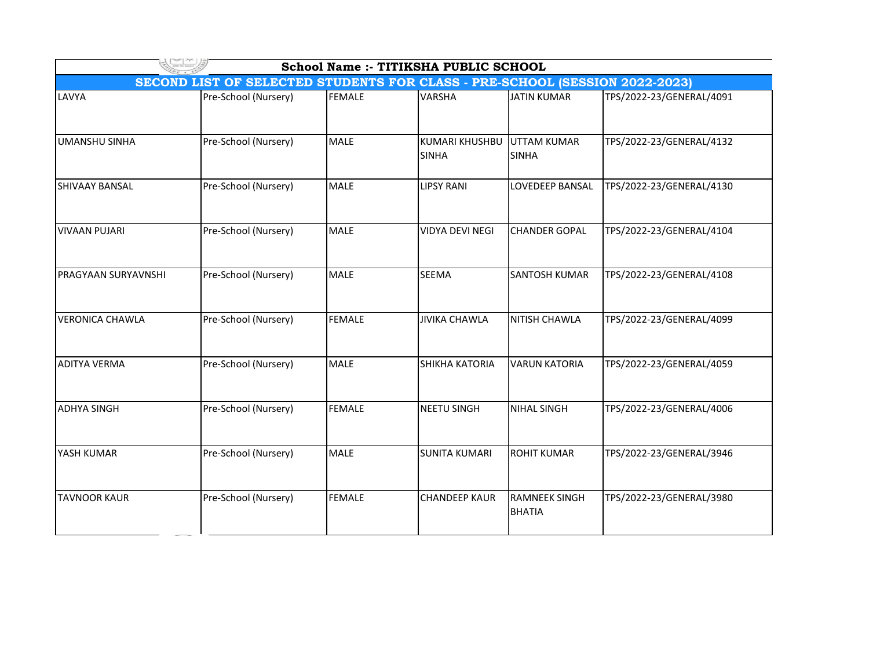| School Name :- TITIKSHA PUBLIC SCHOOL                                       |                      |               |                                |                                       |                          |  |  |  |
|-----------------------------------------------------------------------------|----------------------|---------------|--------------------------------|---------------------------------------|--------------------------|--|--|--|
| SECOND LIST OF SELECTED STUDENTS FOR CLASS - PRE-SCHOOL (SESSION 2022-2023) |                      |               |                                |                                       |                          |  |  |  |
| LAVYA                                                                       | Pre-School (Nursery) | <b>FEMALE</b> | <b>VARSHA</b>                  | <b>JATIN KUMAR</b>                    | TPS/2022-23/GENERAL/4091 |  |  |  |
| <b>UMANSHU SINHA</b>                                                        | Pre-School (Nursery) | <b>MALE</b>   | KUMARI KHUSHBU<br><b>SINHA</b> | UTTAM KUMAR<br><b>SINHA</b>           | TPS/2022-23/GENERAL/4132 |  |  |  |
| SHIVAAY BANSAL                                                              | Pre-School (Nursery) | <b>MALE</b>   | <b>LIPSY RANI</b>              | <b>LOVEDEEP BANSAL</b>                | TPS/2022-23/GENERAL/4130 |  |  |  |
| <b>VIVAAN PUJARI</b>                                                        | Pre-School (Nursery) | <b>MALE</b>   | <b>VIDYA DEVI NEGI</b>         | <b>CHANDER GOPAL</b>                  | TPS/2022-23/GENERAL/4104 |  |  |  |
| <b>PRAGYAAN SURYAVNSHI</b>                                                  | Pre-School (Nursery) | <b>MALE</b>   | SEEMA                          | <b>SANTOSH KUMAR</b>                  | TPS/2022-23/GENERAL/4108 |  |  |  |
| <b>VERONICA CHAWLA</b>                                                      | Pre-School (Nursery) | <b>FEMALE</b> | <b>JIVIKA CHAWLA</b>           | NITISH CHAWLA                         | TPS/2022-23/GENERAL/4099 |  |  |  |
| <b>ADITYA VERMA</b>                                                         | Pre-School (Nursery) | <b>MALE</b>   | <b>SHIKHA KATORIA</b>          | <b>VARUN KATORIA</b>                  | TPS/2022-23/GENERAL/4059 |  |  |  |
| <b>ADHYA SINGH</b>                                                          | Pre-School (Nursery) | <b>FEMALE</b> | <b>NEETU SINGH</b>             | <b>NIHAL SINGH</b>                    | TPS/2022-23/GENERAL/4006 |  |  |  |
| YASH KUMAR                                                                  | Pre-School (Nursery) | <b>MALE</b>   | İSUNITA KUMARI                 | <b>ROHIT KUMAR</b>                    | TPS/2022-23/GENERAL/3946 |  |  |  |
| <b>TAVNOOR KAUR</b>                                                         | Pre-School (Nursery) | <b>FEMALE</b> | <b>CHANDEEP KAUR</b>           | <b>RAMNEEK SINGH</b><br><b>BHATIA</b> | TPS/2022-23/GENERAL/3980 |  |  |  |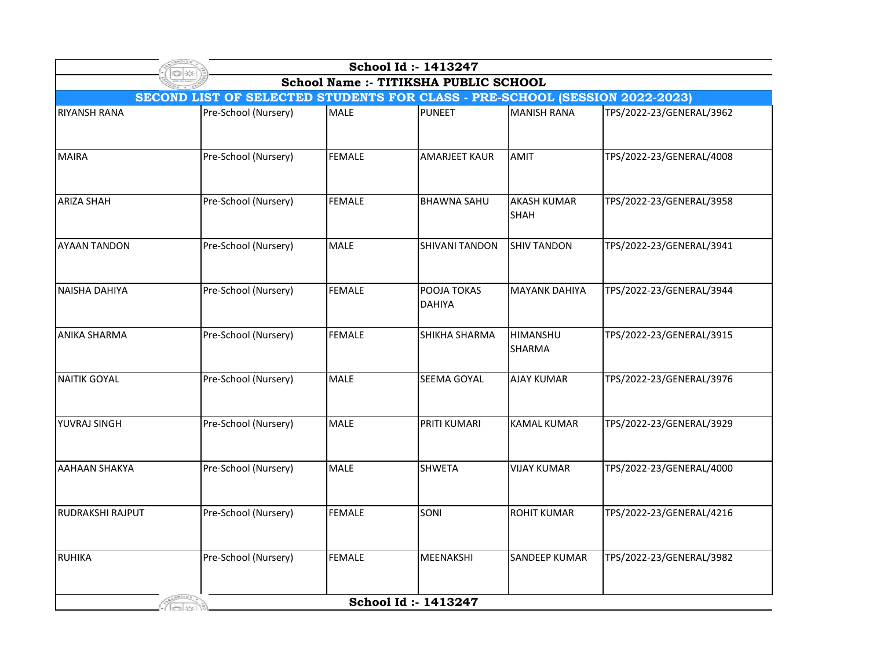| School Id: 1413247                                                          |                      |               |                              |                                   |                          |  |  |  |
|-----------------------------------------------------------------------------|----------------------|---------------|------------------------------|-----------------------------------|--------------------------|--|--|--|
| School Name :- TITIKSHA PUBLIC SCHOOL                                       |                      |               |                              |                                   |                          |  |  |  |
| SECOND LIST OF SELECTED STUDENTS FOR CLASS - PRE-SCHOOL (SESSION 2022-2023) |                      |               |                              |                                   |                          |  |  |  |
| <b>RIYANSH RANA</b>                                                         | Pre-School (Nursery) | <b>MALE</b>   | <b>PUNEET</b>                | <b>MANISH RANA</b>                | TPS/2022-23/GENERAL/3962 |  |  |  |
| <b>MAIRA</b>                                                                | Pre-School (Nursery) | <b>FEMALE</b> | <b>AMARJEET KAUR</b>         | AMIT                              | TPS/2022-23/GENERAL/4008 |  |  |  |
| <b>ARIZA SHAH</b>                                                           | Pre-School (Nursery) | <b>FEMALE</b> | <b>BHAWNA SAHU</b>           | <b>AKASH KUMAR</b><br><b>SHAH</b> | TPS/2022-23/GENERAL/3958 |  |  |  |
| <b>AYAAN TANDON</b>                                                         | Pre-School (Nursery) | <b>MALE</b>   | <b>SHIVANI TANDON</b>        | <b>SHIV TANDON</b>                | TPS/2022-23/GENERAL/3941 |  |  |  |
| <b>NAISHA DAHIYA</b>                                                        | Pre-School (Nursery) | <b>FEMALE</b> | POOJA TOKAS<br><b>DAHIYA</b> | <b>MAYANK DAHIYA</b>              | TPS/2022-23/GENERAL/3944 |  |  |  |
| <b>ANIKA SHARMA</b>                                                         | Pre-School (Nursery) | <b>FEMALE</b> | SHIKHA SHARMA                | <b>HIMANSHU</b><br><b>SHARMA</b>  | TPS/2022-23/GENERAL/3915 |  |  |  |
| <b>NAITIK GOYAL</b>                                                         | Pre-School (Nursery) | <b>MALE</b>   | <b>SEEMA GOYAL</b>           | <b>AJAY KUMAR</b>                 | TPS/2022-23/GENERAL/3976 |  |  |  |
| YUVRAJ SINGH                                                                | Pre-School (Nursery) | <b>MALE</b>   | PRITI KUMARI                 | <b>KAMAL KUMAR</b>                | TPS/2022-23/GENERAL/3929 |  |  |  |
| <b>AAHAAN SHAKYA</b>                                                        | Pre-School (Nursery) | <b>MALE</b>   | <b>SHWETA</b>                | <b>VIJAY KUMAR</b>                | TPS/2022-23/GENERAL/4000 |  |  |  |
| RUDRAKSHI RAJPUT                                                            | Pre-School (Nursery) | <b>FEMALE</b> | SONI                         | <b>ROHIT KUMAR</b>                | TPS/2022-23/GENERAL/4216 |  |  |  |
| <b>RUHIKA</b>                                                               | Pre-School (Nursery) | <b>FEMALE</b> | MEENAKSHI                    | <b>SANDEEP KUMAR</b>              | TPS/2022-23/GENERAL/3982 |  |  |  |
|                                                                             |                      |               | School Id: - 1413247         |                                   |                          |  |  |  |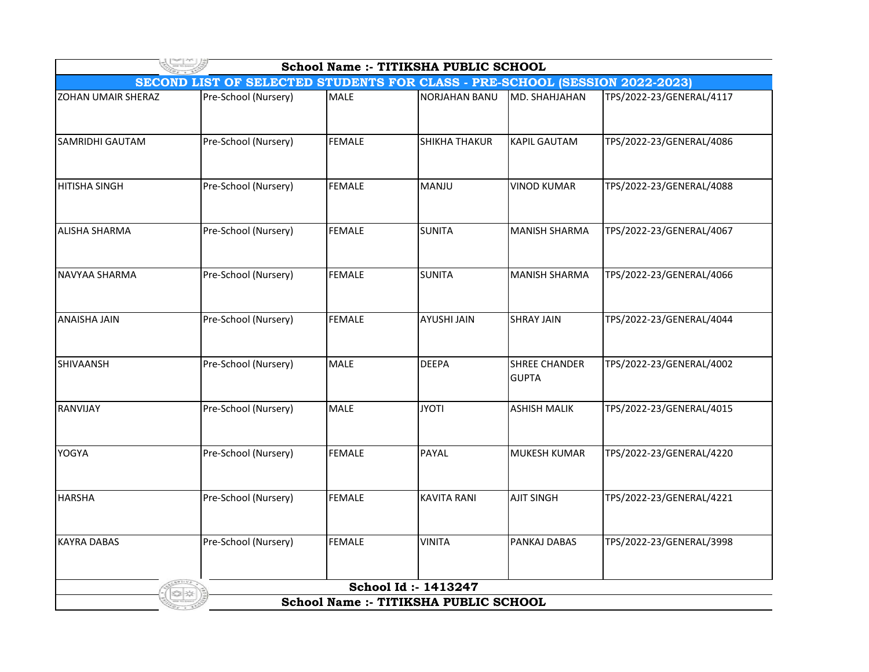| School Name :- TITIKSHA PUBLIC SCHOOL |                                                                                    |               |                      |                                      |                          |  |  |
|---------------------------------------|------------------------------------------------------------------------------------|---------------|----------------------|--------------------------------------|--------------------------|--|--|
|                                       | <b>SECOND LIST OF SELECTED STUDENTS FOR CLASS - PRE-SCHOOL (SESSION 2022-2023)</b> |               |                      |                                      |                          |  |  |
| ZOHAN UMAIR SHERAZ                    | Pre-School (Nursery)                                                               | <b>MALE</b>   | <b>NORJAHAN BANU</b> | MD. SHAHJAHAN                        | TPS/2022-23/GENERAL/4117 |  |  |
| SAMRIDHI GAUTAM                       | Pre-School (Nursery)                                                               | <b>FEMALE</b> | <b>SHIKHA THAKUR</b> | <b>KAPIL GAUTAM</b>                  | TPS/2022-23/GENERAL/4086 |  |  |
| <b>HITISHA SINGH</b>                  | Pre-School (Nursery)                                                               | <b>FEMALE</b> | MANJU                | <b>VINOD KUMAR</b>                   | TPS/2022-23/GENERAL/4088 |  |  |
| <b>ALISHA SHARMA</b>                  | Pre-School (Nursery)                                                               | <b>FEMALE</b> | <b>SUNITA</b>        | <b>MANISH SHARMA</b>                 | TPS/2022-23/GENERAL/4067 |  |  |
| NAVYAA SHARMA                         | Pre-School (Nursery)                                                               | <b>FEMALE</b> | <b>SUNITA</b>        | <b>MANISH SHARMA</b>                 | TPS/2022-23/GENERAL/4066 |  |  |
| <b>ANAISHA JAIN</b>                   | Pre-School (Nursery)                                                               | <b>FEMALE</b> | <b>AYUSHI JAIN</b>   | <b>SHRAY JAIN</b>                    | TPS/2022-23/GENERAL/4044 |  |  |
| SHIVAANSH                             | Pre-School (Nursery)                                                               | <b>MALE</b>   | <b>DEEPA</b>         | <b>SHREE CHANDER</b><br><b>GUPTA</b> | TPS/2022-23/GENERAL/4002 |  |  |
| RANVIJAY                              | Pre-School (Nursery)                                                               | <b>MALE</b>   | <b>JYOTI</b>         | <b>ASHISH MALIK</b>                  | TPS/2022-23/GENERAL/4015 |  |  |
| YOGYA                                 | Pre-School (Nursery)                                                               | <b>FEMALE</b> | PAYAL                | <b>MUKESH KUMAR</b>                  | TPS/2022-23/GENERAL/4220 |  |  |
| <b>HARSHA</b>                         | Pre-School (Nursery)                                                               | <b>FEMALE</b> | <b>KAVITA RANI</b>   | <b>AJIT SINGH</b>                    | TPS/2022-23/GENERAL/4221 |  |  |
| <b>KAYRA DABAS</b>                    | Pre-School (Nursery)                                                               | <b>FEMALE</b> | <b>VINITA</b>        | PANKAJ DABAS                         | TPS/2022-23/GENERAL/3998 |  |  |
|                                       |                                                                                    |               | School Id: 1413247   |                                      |                          |  |  |
| School Name :- TITIKSHA PUBLIC SCHOOL |                                                                                    |               |                      |                                      |                          |  |  |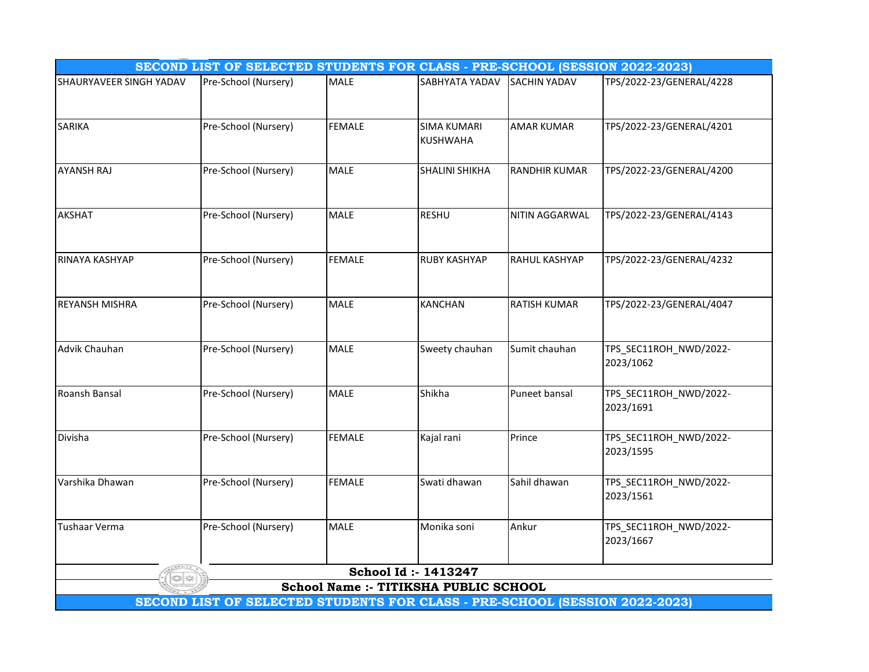| SECOND LIST OF SELECTED STUDENTS FOR CLASS - PRE-SCHOOL (SESSION 2022-2023) |                      |               |                                             |                      |                                     |  |  |  |  |
|-----------------------------------------------------------------------------|----------------------|---------------|---------------------------------------------|----------------------|-------------------------------------|--|--|--|--|
| SHAURYAVEER SINGH YADAV                                                     | Pre-School (Nursery) | MALE          | SABHYATA YADAV                              | <b>SACHIN YADAV</b>  | TPS/2022-23/GENERAL/4228            |  |  |  |  |
| <b>SARIKA</b>                                                               | Pre-School (Nursery) | <b>FEMALE</b> | <b>SIMA KUMARI</b><br><b>KUSHWAHA</b>       | <b>AMAR KUMAR</b>    | TPS/2022-23/GENERAL/4201            |  |  |  |  |
| <b>AYANSH RAJ</b>                                                           | Pre-School (Nursery) | <b>MALE</b>   | <b>SHALINI SHIKHA</b>                       | <b>RANDHIR KUMAR</b> | TPS/2022-23/GENERAL/4200            |  |  |  |  |
| <b>AKSHAT</b>                                                               | Pre-School (Nursery) | <b>MALE</b>   | <b>RESHU</b>                                | NITIN AGGARWAL       | TPS/2022-23/GENERAL/4143            |  |  |  |  |
| RINAYA KASHYAP                                                              | Pre-School (Nursery) | <b>FEMALE</b> | <b>RUBY KASHYAP</b>                         | <b>RAHUL KASHYAP</b> | TPS/2022-23/GENERAL/4232            |  |  |  |  |
| <b>REYANSH MISHRA</b>                                                       | Pre-School (Nursery) | <b>MALE</b>   | <b>KANCHAN</b>                              | <b>RATISH KUMAR</b>  | TPS/2022-23/GENERAL/4047            |  |  |  |  |
| Advik Chauhan                                                               | Pre-School (Nursery) | <b>MALE</b>   | Sweety chauhan                              | Sumit chauhan        | TPS_SEC11ROH_NWD/2022-<br>2023/1062 |  |  |  |  |
| Roansh Bansal                                                               | Pre-School (Nursery) | <b>MALE</b>   | Shikha                                      | Puneet bansal        | TPS_SEC11ROH_NWD/2022-<br>2023/1691 |  |  |  |  |
| Divisha                                                                     | Pre-School (Nursery) | <b>FEMALE</b> | Kajal rani                                  | Prince               | TPS_SEC11ROH_NWD/2022-<br>2023/1595 |  |  |  |  |
| Varshika Dhawan                                                             | Pre-School (Nursery) | <b>FEMALE</b> | Swati dhawan                                | Sahil dhawan         | TPS_SEC11ROH_NWD/2022-<br>2023/1561 |  |  |  |  |
| <b>Tushaar Verma</b>                                                        | Pre-School (Nursery) | MALE          | Monika soni                                 | Ankur                | TPS_SEC11ROH_NWD/2022-<br>2023/1667 |  |  |  |  |
|                                                                             | School Id: - 1413247 |               |                                             |                      |                                     |  |  |  |  |
|                                                                             |                      |               | <b>School Name:- TITIKSHA PUBLIC SCHOOL</b> |                      |                                     |  |  |  |  |
| SECOND LIST OF SELECTED STUDENTS FOR CLASS - PRE-SCHOOL (SESSION 2022-2023) |                      |               |                                             |                      |                                     |  |  |  |  |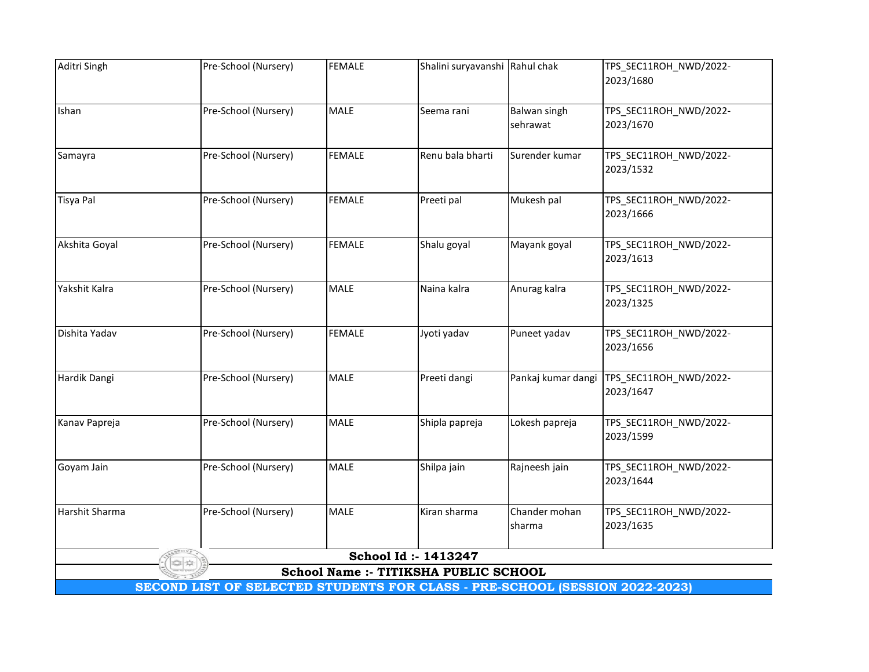| Aditri Singh                                                                | Pre-School (Nursery) | <b>FEMALE</b> | Shalini suryavanshi Rahul chak        |                    | TPS_SEC11ROH_NWD/2022-              |  |
|-----------------------------------------------------------------------------|----------------------|---------------|---------------------------------------|--------------------|-------------------------------------|--|
|                                                                             |                      |               |                                       |                    | 2023/1680                           |  |
|                                                                             |                      |               |                                       |                    |                                     |  |
| Ishan                                                                       | Pre-School (Nursery) | <b>MALE</b>   | Seema rani                            | Balwan singh       | TPS_SEC11ROH_NWD/2022-              |  |
|                                                                             |                      |               |                                       | sehrawat           | 2023/1670                           |  |
| Samayra                                                                     | Pre-School (Nursery) | <b>FEMALE</b> | Renu bala bharti                      | Surender kumar     | TPS_SEC11ROH_NWD/2022-              |  |
|                                                                             |                      |               |                                       |                    | 2023/1532                           |  |
|                                                                             |                      |               |                                       |                    |                                     |  |
| <b>Tisya Pal</b>                                                            | Pre-School (Nursery) | <b>FEMALE</b> | Preeti pal                            | Mukesh pal         | TPS_SEC11ROH_NWD/2022-              |  |
|                                                                             |                      |               |                                       |                    | 2023/1666                           |  |
|                                                                             |                      |               |                                       |                    |                                     |  |
| Akshita Goyal                                                               | Pre-School (Nursery) | <b>FEMALE</b> | Shalu goyal                           | Mayank goyal       | TPS_SEC11ROH_NWD/2022-<br>2023/1613 |  |
|                                                                             |                      |               |                                       |                    |                                     |  |
| Yakshit Kalra                                                               | Pre-School (Nursery) | <b>MALE</b>   | Naina kalra                           | Anurag kalra       | TPS_SEC11ROH_NWD/2022-              |  |
|                                                                             |                      |               |                                       |                    | 2023/1325                           |  |
|                                                                             |                      |               |                                       |                    |                                     |  |
| Dishita Yadav                                                               | Pre-School (Nursery) | <b>FEMALE</b> | Jyoti yadav                           | Puneet yadav       | TPS_SEC11ROH_NWD/2022-              |  |
|                                                                             |                      |               |                                       |                    | 2023/1656                           |  |
| Hardik Dangi                                                                | Pre-School (Nursery) | <b>MALE</b>   | Preeti dangi                          | Pankaj kumar dangi | TPS_SEC11ROH_NWD/2022-              |  |
|                                                                             |                      |               |                                       |                    | 2023/1647                           |  |
|                                                                             |                      |               |                                       |                    |                                     |  |
| Kanav Papreja                                                               | Pre-School (Nursery) | <b>MALE</b>   | Shipla papreja                        | Lokesh papreja     | TPS_SEC11ROH_NWD/2022-              |  |
|                                                                             |                      |               |                                       |                    | 2023/1599                           |  |
|                                                                             |                      |               |                                       |                    |                                     |  |
| Goyam Jain                                                                  | Pre-School (Nursery) | MALE          | Shilpa jain                           | Rajneesh jain      | TPS_SEC11ROH_NWD/2022-              |  |
|                                                                             |                      |               |                                       |                    | 2023/1644                           |  |
| Harshit Sharma                                                              | Pre-School (Nursery) | <b>MALE</b>   | Kiran sharma                          | Chander mohan      | TPS_SEC11ROH_NWD/2022-              |  |
|                                                                             |                      |               |                                       | sharma             | 2023/1635                           |  |
|                                                                             |                      |               |                                       |                    |                                     |  |
|                                                                             |                      |               | School Id: 1413247                    |                    |                                     |  |
|                                                                             |                      |               | School Name :- TITIKSHA PUBLIC SCHOOL |                    |                                     |  |
| SECOND LIST OF SELECTED STUDENTS FOR CLASS - PRE-SCHOOL (SESSION 2022-2023) |                      |               |                                       |                    |                                     |  |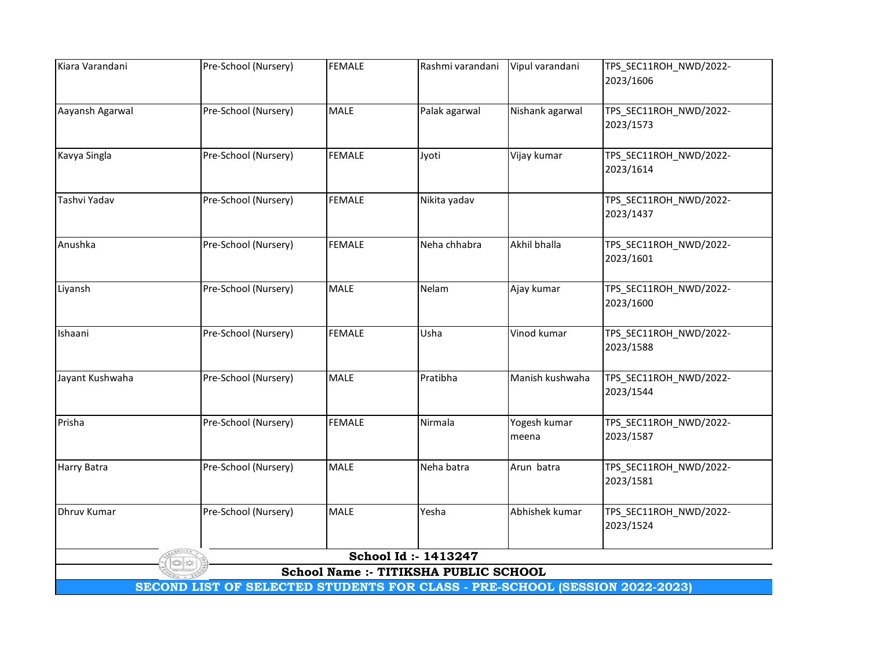| Kiara Varandani | Pre-School (Nursery)                                                        | <b>FEMALE</b> | Rashmi varandani                                              | Vipul varandani | TPS_SEC11ROH_NWD/2022-              |
|-----------------|-----------------------------------------------------------------------------|---------------|---------------------------------------------------------------|-----------------|-------------------------------------|
|                 |                                                                             |               |                                                               |                 | 2023/1606                           |
|                 |                                                                             |               |                                                               |                 |                                     |
| Aayansh Agarwal | Pre-School (Nursery)                                                        | MALE          | Palak agarwal                                                 | Nishank agarwal | TPS_SEC11ROH_NWD/2022-              |
|                 |                                                                             |               |                                                               |                 | 2023/1573                           |
| Kavya Singla    | Pre-School (Nursery)                                                        | <b>FEMALE</b> | Jyoti                                                         | Vijay kumar     | TPS_SEC11ROH_NWD/2022-              |
|                 |                                                                             |               |                                                               |                 | 2023/1614                           |
|                 |                                                                             |               |                                                               |                 |                                     |
| Tashvi Yadav    | Pre-School (Nursery)                                                        | <b>FEMALE</b> | Nikita yadav                                                  |                 | TPS_SEC11ROH_NWD/2022-              |
|                 |                                                                             |               |                                                               |                 | 2023/1437                           |
| Anushka         | Pre-School (Nursery)                                                        | <b>FEMALE</b> | Neha chhabra                                                  | Akhil bhalla    | TPS_SEC11ROH_NWD/2022-              |
|                 |                                                                             |               |                                                               |                 | 2023/1601                           |
|                 |                                                                             |               |                                                               |                 |                                     |
| Liyansh         | Pre-School (Nursery)                                                        | <b>MALE</b>   | Nelam                                                         | Ajay kumar      | TPS_SEC11ROH_NWD/2022-              |
|                 |                                                                             |               |                                                               |                 | 2023/1600                           |
|                 |                                                                             |               |                                                               |                 |                                     |
| Ishaani         | Pre-School (Nursery)                                                        | <b>FEMALE</b> | Usha                                                          | Vinod kumar     | TPS_SEC11ROH_NWD/2022-<br>2023/1588 |
|                 |                                                                             |               |                                                               |                 |                                     |
| Jayant Kushwaha | Pre-School (Nursery)                                                        | <b>MALE</b>   | Pratibha                                                      | Manish kushwaha | TPS_SEC11ROH_NWD/2022-              |
|                 |                                                                             |               |                                                               |                 | 2023/1544                           |
|                 |                                                                             |               |                                                               |                 |                                     |
| Prisha          | Pre-School (Nursery)                                                        | <b>FEMALE</b> | Nirmala                                                       | Yogesh kumar    | TPS_SEC11ROH_NWD/2022-              |
|                 |                                                                             |               |                                                               | meena           | 2023/1587                           |
| Harry Batra     | Pre-School (Nursery)                                                        | MALE          | Neha batra                                                    | Arun batra      | TPS_SEC11ROH_NWD/2022-              |
|                 |                                                                             |               |                                                               |                 | 2023/1581                           |
|                 |                                                                             |               |                                                               |                 |                                     |
| Dhruv Kumar     | Pre-School (Nursery)                                                        | <b>MALE</b>   | Yesha                                                         | Abhishek kumar  | TPS_SEC11ROH_NWD/2022-              |
|                 |                                                                             |               |                                                               |                 | 2023/1524                           |
|                 |                                                                             |               |                                                               |                 |                                     |
|                 |                                                                             |               | School Id: - 1413247<br>School Name :- TITIKSHA PUBLIC SCHOOL |                 |                                     |
|                 | SECOND LIST OF SELECTED STUDENTS FOR CLASS - PRE-SCHOOL (SESSION 2022-2023) |               |                                                               |                 |                                     |
|                 |                                                                             |               |                                                               |                 |                                     |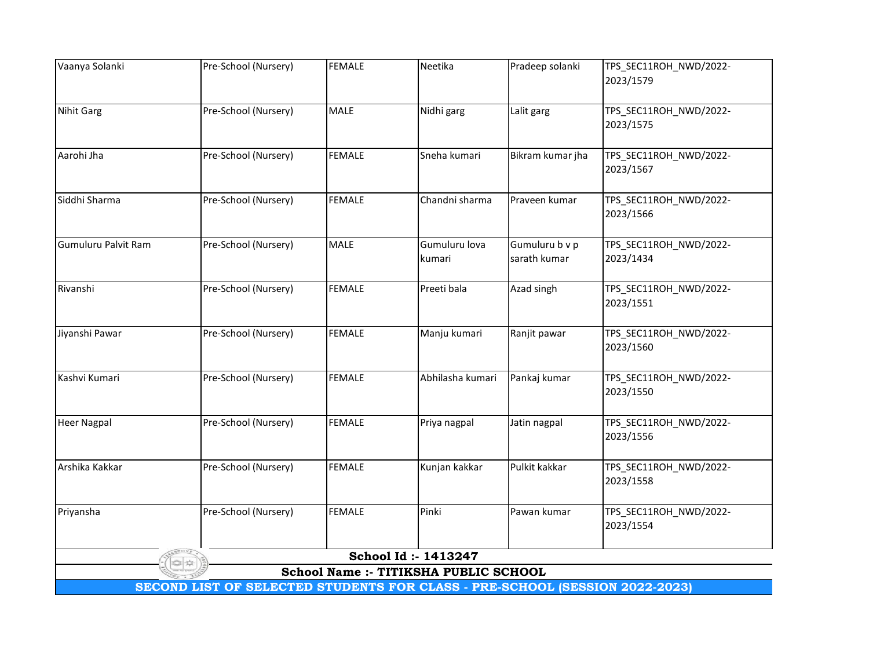| Vaanya Solanki      | Pre-School (Nursery)                                                        | <b>FEMALE</b> | Neetika                               | Pradeep solanki  | TPS_SEC11ROH_NWD/2022-              |
|---------------------|-----------------------------------------------------------------------------|---------------|---------------------------------------|------------------|-------------------------------------|
|                     |                                                                             |               |                                       |                  | 2023/1579                           |
| Nihit Garg          | Pre-School (Nursery)                                                        | MALE          | Nidhi garg                            | Lalit garg       | TPS_SEC11ROH_NWD/2022-              |
|                     |                                                                             |               |                                       |                  | 2023/1575                           |
|                     |                                                                             |               |                                       |                  |                                     |
| Aarohi Jha          | Pre-School (Nursery)                                                        | <b>FEMALE</b> | Sneha kumari                          | Bikram kumar jha | TPS_SEC11ROH_NWD/2022-              |
|                     |                                                                             |               |                                       |                  | 2023/1567                           |
| Siddhi Sharma       | Pre-School (Nursery)                                                        | <b>FEMALE</b> | Chandni sharma                        | Praveen kumar    | TPS_SEC11ROH_NWD/2022-              |
|                     |                                                                             |               |                                       |                  | 2023/1566                           |
|                     |                                                                             |               |                                       |                  |                                     |
| Gumuluru Palvit Ram | Pre-School (Nursery)                                                        | <b>MALE</b>   | Gumuluru lova                         | Gumuluru b v p   | TPS_SEC11ROH_NWD/2022-              |
|                     |                                                                             |               | kumari                                | sarath kumar     | 2023/1434                           |
| Rivanshi            | Pre-School (Nursery)                                                        | <b>FEMALE</b> | Preeti bala                           | Azad singh       | TPS_SEC11ROH_NWD/2022-              |
|                     |                                                                             |               |                                       |                  | 2023/1551                           |
|                     |                                                                             |               |                                       |                  |                                     |
| Jiyanshi Pawar      | Pre-School (Nursery)                                                        | <b>FEMALE</b> | Manju kumari                          | Ranjit pawar     | TPS_SEC11ROH_NWD/2022-              |
|                     |                                                                             |               |                                       |                  | 2023/1560                           |
|                     |                                                                             |               |                                       |                  |                                     |
| Kashvi Kumari       | Pre-School (Nursery)                                                        | <b>FEMALE</b> | Abhilasha kumari                      | Pankaj kumar     | TPS_SEC11ROH_NWD/2022-<br>2023/1550 |
|                     |                                                                             |               |                                       |                  |                                     |
| <b>Heer Nagpal</b>  | Pre-School (Nursery)                                                        | <b>FEMALE</b> | Priya nagpal                          | Jatin nagpal     | TPS_SEC11ROH_NWD/2022-              |
|                     |                                                                             |               |                                       |                  | 2023/1556                           |
|                     |                                                                             |               |                                       |                  |                                     |
| Arshika Kakkar      | Pre-School (Nursery)                                                        | <b>FEMALE</b> | Kunjan kakkar                         | Pulkit kakkar    | TPS_SEC11ROH_NWD/2022-<br>2023/1558 |
|                     |                                                                             |               |                                       |                  |                                     |
| Priyansha           | Pre-School (Nursery)                                                        | <b>FEMALE</b> | Pinki                                 | Pawan kumar      | TPS_SEC11ROH_NWD/2022-              |
|                     |                                                                             |               |                                       |                  | 2023/1554                           |
|                     |                                                                             |               |                                       |                  |                                     |
|                     |                                                                             |               | School Id: - 1413247                  |                  |                                     |
|                     |                                                                             |               | School Name :- TITIKSHA PUBLIC SCHOOL |                  |                                     |
|                     | SECOND LIST OF SELECTED STUDENTS FOR CLASS - PRE-SCHOOL (SESSION 2022-2023) |               |                                       |                  |                                     |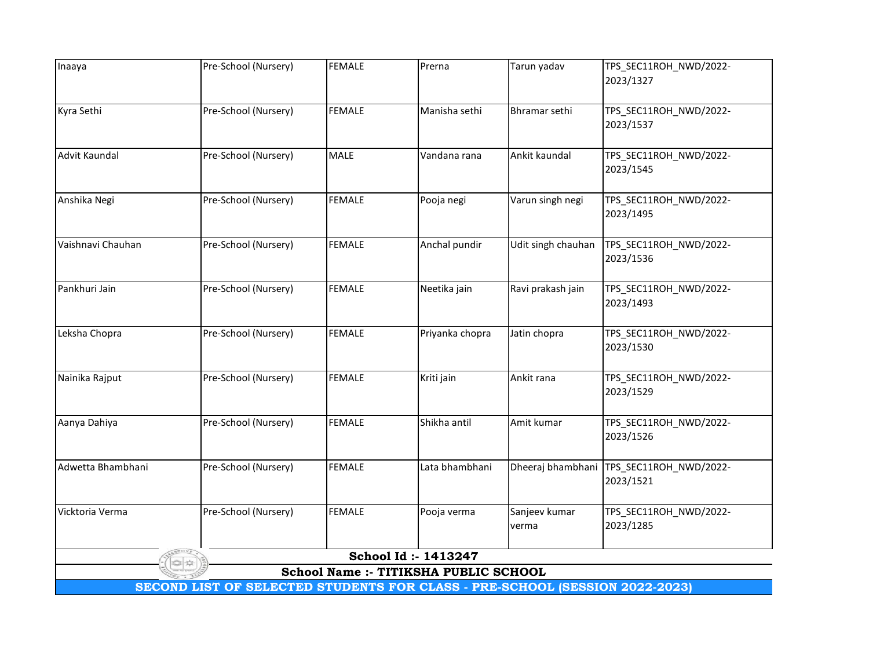| Inaaya            | Pre-School (Nursery)                                                        | <b>FEMALE</b> | Prerna                                | Tarun yadav        | TPS_SEC11ROH_NWD/2022- |  |  |  |
|-------------------|-----------------------------------------------------------------------------|---------------|---------------------------------------|--------------------|------------------------|--|--|--|
|                   |                                                                             |               |                                       |                    | 2023/1327              |  |  |  |
| Kyra Sethi        | Pre-School (Nursery)                                                        | <b>FEMALE</b> | Manisha sethi                         | Bhramar sethi      | TPS_SEC11ROH_NWD/2022- |  |  |  |
|                   |                                                                             |               |                                       |                    | 2023/1537              |  |  |  |
| Advit Kaundal     | Pre-School (Nursery)                                                        | <b>MALE</b>   | Vandana rana                          | Ankit kaundal      | TPS_SEC11ROH_NWD/2022- |  |  |  |
|                   |                                                                             |               |                                       |                    | 2023/1545              |  |  |  |
| Anshika Negi      | Pre-School (Nursery)                                                        | <b>FEMALE</b> | Pooja negi                            | Varun singh negi   | TPS_SEC11ROH_NWD/2022- |  |  |  |
|                   |                                                                             |               |                                       |                    | 2023/1495              |  |  |  |
| Vaishnavi Chauhan | Pre-School (Nursery)                                                        | <b>FEMALE</b> | Anchal pundir                         | Udit singh chauhan | TPS_SEC11ROH_NWD/2022- |  |  |  |
|                   |                                                                             |               |                                       |                    | 2023/1536              |  |  |  |
| Pankhuri Jain     | Pre-School (Nursery)                                                        | <b>FEMALE</b> | Neetika jain                          | Ravi prakash jain  | TPS_SEC11ROH_NWD/2022- |  |  |  |
|                   |                                                                             |               |                                       |                    | 2023/1493              |  |  |  |
| Leksha Chopra     | Pre-School (Nursery)                                                        | <b>FEMALE</b> | Priyanka chopra                       | Jatin chopra       | TPS_SEC11ROH_NWD/2022- |  |  |  |
|                   |                                                                             |               |                                       |                    | 2023/1530              |  |  |  |
| Nainika Rajput    | Pre-School (Nursery)                                                        | <b>FEMALE</b> | Kriti jain                            | Ankit rana         | TPS_SEC11ROH_NWD/2022- |  |  |  |
|                   |                                                                             |               |                                       |                    | 2023/1529              |  |  |  |
| Aanya Dahiya      | Pre-School (Nursery)                                                        | <b>FEMALE</b> | Shikha antil                          | Amit kumar         | TPS_SEC11ROH_NWD/2022- |  |  |  |
|                   |                                                                             |               |                                       |                    | 2023/1526              |  |  |  |
| Adwetta Bhambhani | Pre-School (Nursery)                                                        | <b>FEMALE</b> | Lata bhambhani                        | Dheeraj bhambhani  | TPS_SEC11ROH_NWD/2022- |  |  |  |
|                   |                                                                             |               |                                       |                    | 2023/1521              |  |  |  |
| Vicktoria Verma   | Pre-School (Nursery)                                                        | <b>FEMALE</b> | Pooja verma                           | Sanjeev kumar      | TPS_SEC11ROH_NWD/2022- |  |  |  |
|                   |                                                                             |               |                                       | verma              | 2023/1285              |  |  |  |
|                   |                                                                             |               | School Id: - 1413247                  |                    |                        |  |  |  |
|                   |                                                                             |               | School Name :- TITIKSHA PUBLIC SCHOOL |                    |                        |  |  |  |
|                   | SECOND LIST OF SELECTED STUDENTS FOR CLASS - PRE-SCHOOL (SESSION 2022-2023) |               |                                       |                    |                        |  |  |  |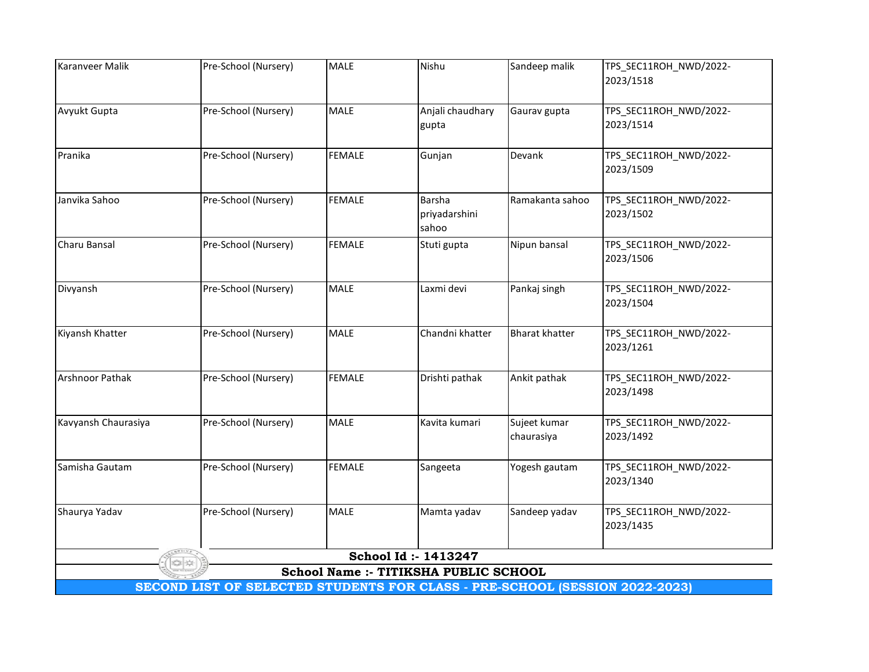| Karanveer Malik        | Pre-School (Nursery)                                                        | MALE          | Nishu                                 | Sandeep malik         | TPS_SEC11ROH_NWD/2022-              |  |  |  |
|------------------------|-----------------------------------------------------------------------------|---------------|---------------------------------------|-----------------------|-------------------------------------|--|--|--|
|                        |                                                                             |               |                                       |                       | 2023/1518                           |  |  |  |
|                        |                                                                             |               |                                       |                       |                                     |  |  |  |
| Avyukt Gupta           | Pre-School (Nursery)                                                        | MALE          | Anjali chaudhary                      | Gaurav gupta          | TPS_SEC11ROH_NWD/2022-              |  |  |  |
|                        |                                                                             |               | gupta                                 |                       | 2023/1514                           |  |  |  |
| Pranika                | Pre-School (Nursery)                                                        | <b>FEMALE</b> | Gunjan                                | Devank                | TPS_SEC11ROH_NWD/2022-              |  |  |  |
|                        |                                                                             |               |                                       |                       | 2023/1509                           |  |  |  |
| Janvika Sahoo          | Pre-School (Nursery)                                                        | <b>FEMALE</b> | <b>Barsha</b>                         | Ramakanta sahoo       | TPS_SEC11ROH_NWD/2022-              |  |  |  |
|                        |                                                                             |               | priyadarshini                         |                       | 2023/1502                           |  |  |  |
|                        |                                                                             |               | sahoo                                 |                       |                                     |  |  |  |
| Charu Bansal           | Pre-School (Nursery)                                                        | <b>FEMALE</b> | Stuti gupta                           | Nipun bansal          | TPS_SEC11ROH_NWD/2022-              |  |  |  |
|                        |                                                                             |               |                                       |                       | 2023/1506                           |  |  |  |
| Divyansh               | Pre-School (Nursery)                                                        | <b>MALE</b>   | Laxmi devi                            | Pankaj singh          | TPS_SEC11ROH_NWD/2022-              |  |  |  |
|                        |                                                                             |               |                                       |                       | 2023/1504                           |  |  |  |
|                        |                                                                             |               |                                       |                       |                                     |  |  |  |
| Kiyansh Khatter        | Pre-School (Nursery)                                                        | <b>MALE</b>   | Chandni khatter                       | <b>Bharat khatter</b> | TPS_SEC11ROH_NWD/2022-<br>2023/1261 |  |  |  |
|                        |                                                                             |               |                                       |                       |                                     |  |  |  |
| <b>Arshnoor Pathak</b> | Pre-School (Nursery)                                                        | <b>FEMALE</b> | Drishti pathak                        | Ankit pathak          | TPS_SEC11ROH_NWD/2022-              |  |  |  |
|                        |                                                                             |               |                                       |                       | 2023/1498                           |  |  |  |
| Kavyansh Chaurasiya    | Pre-School (Nursery)                                                        | <b>MALE</b>   | Kavita kumari                         | Sujeet kumar          | TPS_SEC11ROH_NWD/2022-              |  |  |  |
|                        |                                                                             |               |                                       | chaurasiya            | 2023/1492                           |  |  |  |
|                        |                                                                             |               |                                       |                       |                                     |  |  |  |
| Samisha Gautam         | Pre-School (Nursery)                                                        | <b>FEMALE</b> | Sangeeta                              | Yogesh gautam         | TPS_SEC11ROH_NWD/2022-<br>2023/1340 |  |  |  |
|                        |                                                                             |               |                                       |                       |                                     |  |  |  |
| Shaurya Yadav          | Pre-School (Nursery)                                                        | <b>MALE</b>   | Mamta yadav                           | Sandeep yadav         | TPS_SEC11ROH_NWD/2022-              |  |  |  |
|                        |                                                                             |               |                                       |                       | 2023/1435                           |  |  |  |
|                        |                                                                             |               | School Id: - 1413247                  |                       |                                     |  |  |  |
|                        |                                                                             |               | School Name :- TITIKSHA PUBLIC SCHOOL |                       |                                     |  |  |  |
|                        | SECOND LIST OF SELECTED STUDENTS FOR CLASS - PRE-SCHOOL (SESSION 2022-2023) |               |                                       |                       |                                     |  |  |  |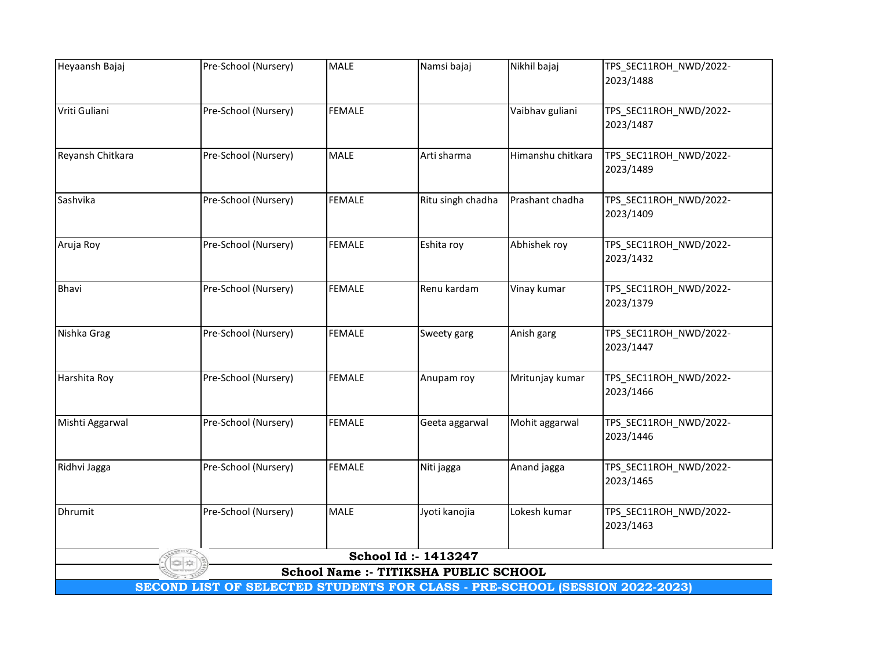| Heyaansh Bajaj   | Pre-School (Nursery)                                                        | <b>MALE</b>   | Namsi bajaj                           | Nikhil bajaj      | TPS_SEC11ROH_NWD/2022-              |
|------------------|-----------------------------------------------------------------------------|---------------|---------------------------------------|-------------------|-------------------------------------|
|                  |                                                                             |               |                                       |                   | 2023/1488                           |
|                  |                                                                             |               |                                       |                   |                                     |
| Vriti Guliani    | Pre-School (Nursery)                                                        | <b>FEMALE</b> |                                       | Vaibhav guliani   | TPS_SEC11ROH_NWD/2022-              |
|                  |                                                                             |               |                                       |                   | 2023/1487                           |
| Reyansh Chitkara | Pre-School (Nursery)                                                        | <b>MALE</b>   | Arti sharma                           | Himanshu chitkara | TPS_SEC11ROH_NWD/2022-              |
|                  |                                                                             |               |                                       |                   | 2023/1489                           |
|                  |                                                                             |               |                                       |                   |                                     |
| Sashvika         | Pre-School (Nursery)                                                        | <b>FEMALE</b> | Ritu singh chadha                     | Prashant chadha   | TPS_SEC11ROH_NWD/2022-              |
|                  |                                                                             |               |                                       |                   | 2023/1409                           |
| Aruja Roy        | Pre-School (Nursery)                                                        | <b>FEMALE</b> | Eshita roy                            | Abhishek roy      | TPS_SEC11ROH_NWD/2022-              |
|                  |                                                                             |               |                                       |                   | 2023/1432                           |
|                  |                                                                             |               |                                       |                   |                                     |
| Bhavi            | Pre-School (Nursery)                                                        | <b>FEMALE</b> | Renu kardam                           | Vinay kumar       | TPS_SEC11ROH_NWD/2022-              |
|                  |                                                                             |               |                                       |                   | 2023/1379                           |
|                  |                                                                             |               |                                       |                   |                                     |
| Nishka Grag      | Pre-School (Nursery)                                                        | <b>FEMALE</b> | Sweety garg                           | Anish garg        | TPS_SEC11ROH_NWD/2022-<br>2023/1447 |
|                  |                                                                             |               |                                       |                   |                                     |
| Harshita Roy     | Pre-School (Nursery)                                                        | <b>FEMALE</b> | Anupam roy                            | Mritunjay kumar   | TPS_SEC11ROH_NWD/2022-              |
|                  |                                                                             |               |                                       |                   | 2023/1466                           |
|                  |                                                                             |               |                                       |                   |                                     |
| Mishti Aggarwal  | Pre-School (Nursery)                                                        | <b>FEMALE</b> | Geeta aggarwal                        | Mohit aggarwal    | TPS_SEC11ROH_NWD/2022-              |
|                  |                                                                             |               |                                       |                   | 2023/1446                           |
| Ridhvi Jagga     | Pre-School (Nursery)                                                        | <b>FEMALE</b> | Niti jagga                            | Anand jagga       | TPS_SEC11ROH_NWD/2022-              |
|                  |                                                                             |               |                                       |                   | 2023/1465                           |
|                  |                                                                             |               |                                       |                   |                                     |
| Dhrumit          | Pre-School (Nursery)                                                        | <b>MALE</b>   | Jyoti kanojia                         | Lokesh kumar      | TPS_SEC11ROH_NWD/2022-              |
|                  |                                                                             |               |                                       |                   | 2023/1463                           |
|                  |                                                                             |               | School Id: - 1413247                  |                   |                                     |
|                  |                                                                             |               | School Name :- TITIKSHA PUBLIC SCHOOL |                   |                                     |
|                  | SECOND LIST OF SELECTED STUDENTS FOR CLASS - PRE-SCHOOL (SESSION 2022-2023) |               |                                       |                   |                                     |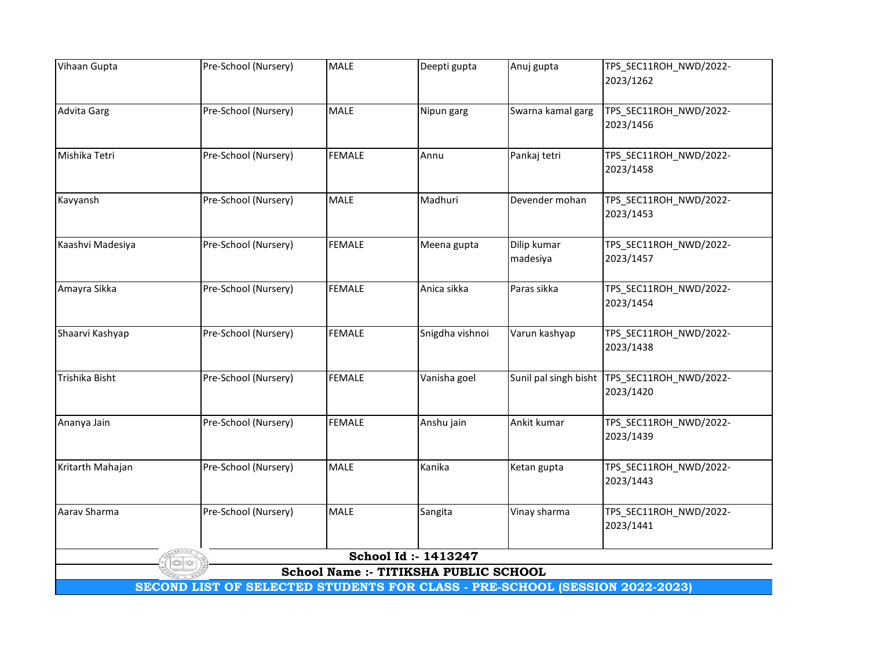| Vihaan Gupta       | Pre-School (Nursery)                                                        | <b>MALE</b>   | Deepti gupta                          | Anuj gupta            | TPS_SEC11ROH_NWD/2022-              |  |  |  |
|--------------------|-----------------------------------------------------------------------------|---------------|---------------------------------------|-----------------------|-------------------------------------|--|--|--|
|                    |                                                                             |               |                                       |                       | 2023/1262                           |  |  |  |
|                    |                                                                             |               |                                       |                       |                                     |  |  |  |
| <b>Advita Garg</b> | Pre-School (Nursery)                                                        | <b>MALE</b>   | Nipun garg                            | Swarna kamal garg     | TPS_SEC11ROH_NWD/2022-              |  |  |  |
|                    |                                                                             |               |                                       |                       | 2023/1456                           |  |  |  |
|                    |                                                                             |               |                                       |                       |                                     |  |  |  |
| Mishika Tetri      | Pre-School (Nursery)                                                        | <b>FEMALE</b> | Annu                                  | Pankaj tetri          | TPS_SEC11ROH_NWD/2022-              |  |  |  |
|                    |                                                                             |               |                                       |                       | 2023/1458                           |  |  |  |
|                    |                                                                             |               |                                       |                       |                                     |  |  |  |
| Kavyansh           | Pre-School (Nursery)                                                        | <b>MALE</b>   | Madhuri                               | Devender mohan        | TPS_SEC11ROH_NWD/2022-              |  |  |  |
|                    |                                                                             |               |                                       |                       | 2023/1453                           |  |  |  |
|                    |                                                                             |               |                                       |                       |                                     |  |  |  |
| Kaashvi Madesiya   | Pre-School (Nursery)                                                        | <b>FEMALE</b> | Meena gupta                           | Dilip kumar           | TPS_SEC11ROH_NWD/2022-              |  |  |  |
|                    |                                                                             |               |                                       | madesiya              | 2023/1457                           |  |  |  |
|                    |                                                                             |               |                                       |                       |                                     |  |  |  |
| Amayra Sikka       | Pre-School (Nursery)                                                        | <b>FEMALE</b> | Anica sikka                           | Paras sikka           | TPS_SEC11ROH_NWD/2022-              |  |  |  |
|                    |                                                                             |               |                                       |                       | 2023/1454                           |  |  |  |
|                    |                                                                             |               |                                       |                       |                                     |  |  |  |
| Shaarvi Kashyap    | Pre-School (Nursery)                                                        | <b>FEMALE</b> | Snigdha vishnoi                       | Varun kashyap         | TPS_SEC11ROH_NWD/2022-              |  |  |  |
|                    |                                                                             |               |                                       |                       | 2023/1438                           |  |  |  |
|                    |                                                                             |               |                                       |                       |                                     |  |  |  |
| Trishika Bisht     | Pre-School (Nursery)                                                        | <b>FEMALE</b> | Vanisha goel                          | Sunil pal singh bisht | TPS_SEC11ROH_NWD/2022-              |  |  |  |
|                    |                                                                             |               |                                       |                       | 2023/1420                           |  |  |  |
|                    |                                                                             | <b>FEMALE</b> |                                       |                       |                                     |  |  |  |
| Ananya Jain        | Pre-School (Nursery)                                                        |               | Anshu jain                            | Ankit kumar           | TPS_SEC11ROH_NWD/2022-<br>2023/1439 |  |  |  |
|                    |                                                                             |               |                                       |                       |                                     |  |  |  |
| Kritarth Mahajan   | Pre-School (Nursery)                                                        | <b>MALE</b>   | Kanika                                | Ketan gupta           | TPS_SEC11ROH_NWD/2022-              |  |  |  |
|                    |                                                                             |               |                                       |                       | 2023/1443                           |  |  |  |
|                    |                                                                             |               |                                       |                       |                                     |  |  |  |
| Aarav Sharma       | Pre-School (Nursery)                                                        | <b>MALE</b>   | Sangita                               | Vinay sharma          | TPS_SEC11ROH_NWD/2022-              |  |  |  |
|                    |                                                                             |               |                                       |                       | 2023/1441                           |  |  |  |
|                    |                                                                             |               |                                       |                       |                                     |  |  |  |
|                    |                                                                             |               | School Id: - 1413247                  |                       |                                     |  |  |  |
|                    |                                                                             |               | School Name :- TITIKSHA PUBLIC SCHOOL |                       |                                     |  |  |  |
|                    | SECOND LIST OF SELECTED STUDENTS FOR CLASS - PRE-SCHOOL (SESSION 2022-2023) |               |                                       |                       |                                     |  |  |  |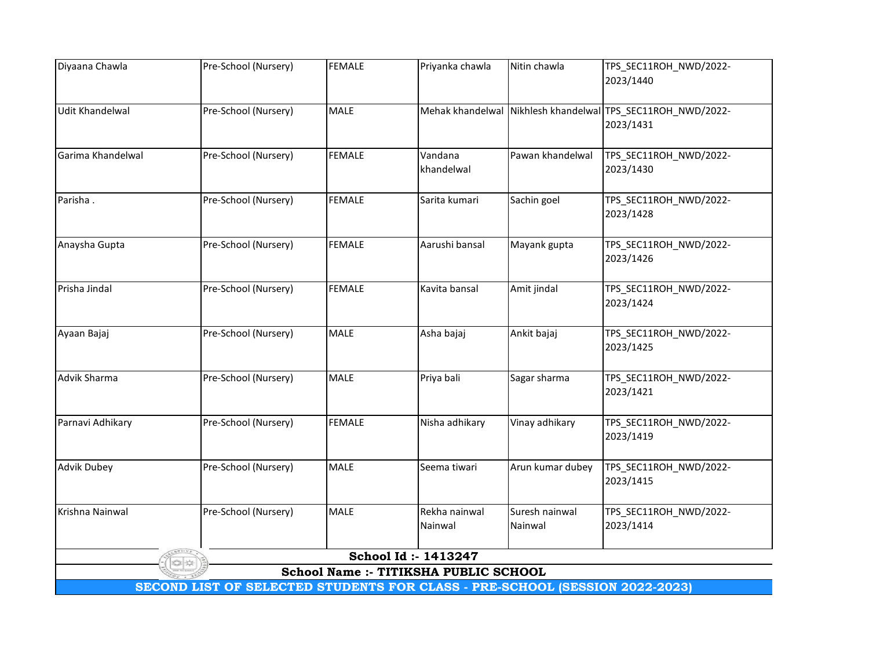| Diyaana Chawla         | Pre-School (Nursery)                                                        | <b>FEMALE</b> | Priyanka chawla                       | Nitin chawla     | TPS_SEC11ROH_NWD/2022-                     |  |  |  |
|------------------------|-----------------------------------------------------------------------------|---------------|---------------------------------------|------------------|--------------------------------------------|--|--|--|
|                        |                                                                             |               |                                       |                  | 2023/1440                                  |  |  |  |
|                        |                                                                             |               |                                       |                  |                                            |  |  |  |
| <b>Udit Khandelwal</b> | Pre-School (Nursery)                                                        | MALE          | Mehak khandelwal                      |                  | Nikhlesh khandelwal TPS_SEC11ROH_NWD/2022- |  |  |  |
|                        |                                                                             |               |                                       |                  | 2023/1431                                  |  |  |  |
|                        |                                                                             |               |                                       |                  |                                            |  |  |  |
| Garima Khandelwal      | Pre-School (Nursery)                                                        | <b>FEMALE</b> | Vandana                               | Pawan khandelwal | TPS_SEC11ROH_NWD/2022-                     |  |  |  |
|                        |                                                                             |               | khandelwal                            |                  | 2023/1430                                  |  |  |  |
|                        |                                                                             |               |                                       |                  |                                            |  |  |  |
| Parisha.               | Pre-School (Nursery)                                                        | <b>FEMALE</b> | Sarita kumari                         | Sachin goel      | TPS_SEC11ROH_NWD/2022-                     |  |  |  |
|                        |                                                                             |               |                                       |                  | 2023/1428                                  |  |  |  |
|                        |                                                                             |               |                                       |                  |                                            |  |  |  |
| Anaysha Gupta          | Pre-School (Nursery)                                                        | <b>FEMALE</b> | Aarushi bansal                        | Mayank gupta     | TPS_SEC11ROH_NWD/2022-                     |  |  |  |
|                        |                                                                             |               |                                       |                  | 2023/1426                                  |  |  |  |
|                        |                                                                             |               |                                       |                  |                                            |  |  |  |
| Prisha Jindal          | Pre-School (Nursery)                                                        | <b>FEMALE</b> | Kavita bansal                         | Amit jindal      | TPS_SEC11ROH_NWD/2022-                     |  |  |  |
|                        |                                                                             |               |                                       |                  | 2023/1424                                  |  |  |  |
|                        |                                                                             |               |                                       |                  |                                            |  |  |  |
| Ayaan Bajaj            | Pre-School (Nursery)                                                        | <b>MALE</b>   | Asha bajaj                            | Ankit bajaj      | TPS_SEC11ROH_NWD/2022-                     |  |  |  |
|                        |                                                                             |               |                                       |                  | 2023/1425                                  |  |  |  |
|                        |                                                                             |               |                                       |                  |                                            |  |  |  |
| Advik Sharma           | Pre-School (Nursery)                                                        | <b>MALE</b>   | Priya bali                            | Sagar sharma     | TPS_SEC11ROH_NWD/2022-                     |  |  |  |
|                        |                                                                             |               |                                       |                  | 2023/1421                                  |  |  |  |
|                        |                                                                             | <b>FEMALE</b> |                                       |                  |                                            |  |  |  |
| Parnavi Adhikary       | Pre-School (Nursery)                                                        |               | Nisha adhikary                        | Vinay adhikary   | TPS_SEC11ROH_NWD/2022-<br>2023/1419        |  |  |  |
|                        |                                                                             |               |                                       |                  |                                            |  |  |  |
| <b>Advik Dubey</b>     | Pre-School (Nursery)                                                        | MALE          | Seema tiwari                          | Arun kumar dubey | TPS_SEC11ROH_NWD/2022-                     |  |  |  |
|                        |                                                                             |               |                                       |                  | 2023/1415                                  |  |  |  |
|                        |                                                                             |               |                                       |                  |                                            |  |  |  |
| Krishna Nainwal        | Pre-School (Nursery)                                                        | <b>MALE</b>   | Rekha nainwal                         | Suresh nainwal   | TPS_SEC11ROH_NWD/2022-                     |  |  |  |
|                        |                                                                             |               | Nainwal                               | Nainwal          | 2023/1414                                  |  |  |  |
|                        |                                                                             |               |                                       |                  |                                            |  |  |  |
|                        |                                                                             |               | School Id: - 1413247                  |                  |                                            |  |  |  |
|                        |                                                                             |               | School Name :- TITIKSHA PUBLIC SCHOOL |                  |                                            |  |  |  |
|                        | SECOND LIST OF SELECTED STUDENTS FOR CLASS - PRE-SCHOOL (SESSION 2022-2023) |               |                                       |                  |                                            |  |  |  |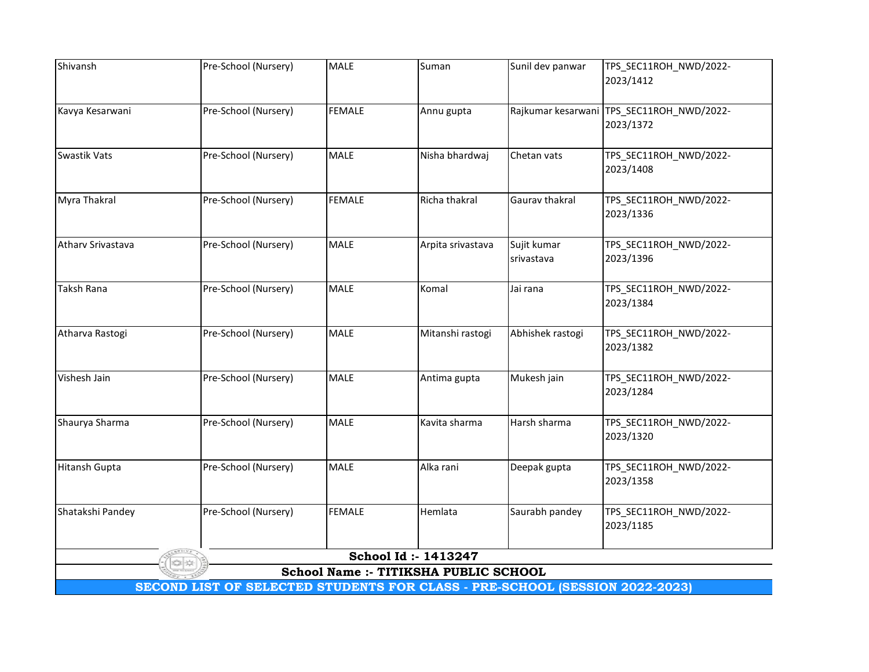| Shivansh          | Pre-School (Nursery)                                                        | <b>MALE</b>   | Suman                                 | Sunil dev panwar   | TPS_SEC11ROH_NWD/2022-              |  |  |  |
|-------------------|-----------------------------------------------------------------------------|---------------|---------------------------------------|--------------------|-------------------------------------|--|--|--|
|                   |                                                                             |               |                                       |                    | 2023/1412                           |  |  |  |
|                   |                                                                             |               |                                       |                    |                                     |  |  |  |
| Kavya Kesarwani   | Pre-School (Nursery)                                                        | <b>FEMALE</b> | Annu gupta                            | Rajkumar kesarwani | TPS_SEC11ROH_NWD/2022-              |  |  |  |
|                   |                                                                             |               |                                       |                    | 2023/1372                           |  |  |  |
| Swastik Vats      | Pre-School (Nursery)                                                        | <b>MALE</b>   | Nisha bhardwaj                        | Chetan vats        | TPS_SEC11ROH_NWD/2022-              |  |  |  |
|                   |                                                                             |               |                                       |                    | 2023/1408                           |  |  |  |
|                   |                                                                             |               |                                       |                    |                                     |  |  |  |
| Myra Thakral      | Pre-School (Nursery)                                                        | <b>FEMALE</b> | Richa thakral                         | Gaurav thakral     | TPS_SEC11ROH_NWD/2022-              |  |  |  |
|                   |                                                                             |               |                                       |                    | 2023/1336                           |  |  |  |
|                   |                                                                             |               |                                       |                    |                                     |  |  |  |
| Athary Srivastava | Pre-School (Nursery)                                                        | <b>MALE</b>   | Arpita srivastava                     | Sujit kumar        | TPS_SEC11ROH_NWD/2022-              |  |  |  |
|                   |                                                                             |               |                                       | srivastava         | 2023/1396                           |  |  |  |
| <b>Taksh Rana</b> | Pre-School (Nursery)                                                        | <b>MALE</b>   | Komal                                 | Jai rana           | TPS_SEC11ROH_NWD/2022-              |  |  |  |
|                   |                                                                             |               |                                       |                    | 2023/1384                           |  |  |  |
|                   |                                                                             |               |                                       |                    |                                     |  |  |  |
| Atharva Rastogi   | Pre-School (Nursery)                                                        | <b>MALE</b>   | Mitanshi rastogi                      | Abhishek rastogi   | TPS_SEC11ROH_NWD/2022-              |  |  |  |
|                   |                                                                             |               |                                       |                    | 2023/1382                           |  |  |  |
|                   |                                                                             |               |                                       |                    |                                     |  |  |  |
| Vishesh Jain      | Pre-School (Nursery)                                                        | <b>MALE</b>   | Antima gupta                          | Mukesh jain        | TPS_SEC11ROH_NWD/2022-              |  |  |  |
|                   |                                                                             |               |                                       |                    | 2023/1284                           |  |  |  |
| Shaurya Sharma    | Pre-School (Nursery)                                                        | <b>MALE</b>   | Kavita sharma                         | Harsh sharma       | TPS_SEC11ROH_NWD/2022-              |  |  |  |
|                   |                                                                             |               |                                       |                    | 2023/1320                           |  |  |  |
|                   |                                                                             |               |                                       |                    |                                     |  |  |  |
| Hitansh Gupta     | Pre-School (Nursery)                                                        | <b>MALE</b>   | Alka rani                             | Deepak gupta       | TPS_SEC11ROH_NWD/2022-              |  |  |  |
|                   |                                                                             |               |                                       |                    | 2023/1358                           |  |  |  |
|                   |                                                                             |               |                                       |                    |                                     |  |  |  |
| Shatakshi Pandey  | Pre-School (Nursery)                                                        | <b>FEMALE</b> | Hemlata                               | Saurabh pandey     | TPS_SEC11ROH_NWD/2022-<br>2023/1185 |  |  |  |
|                   |                                                                             |               |                                       |                    |                                     |  |  |  |
|                   |                                                                             |               | School Id: - 1413247                  |                    |                                     |  |  |  |
|                   |                                                                             |               | School Name :- TITIKSHA PUBLIC SCHOOL |                    |                                     |  |  |  |
|                   | SECOND LIST OF SELECTED STUDENTS FOR CLASS - PRE-SCHOOL (SESSION 2022-2023) |               |                                       |                    |                                     |  |  |  |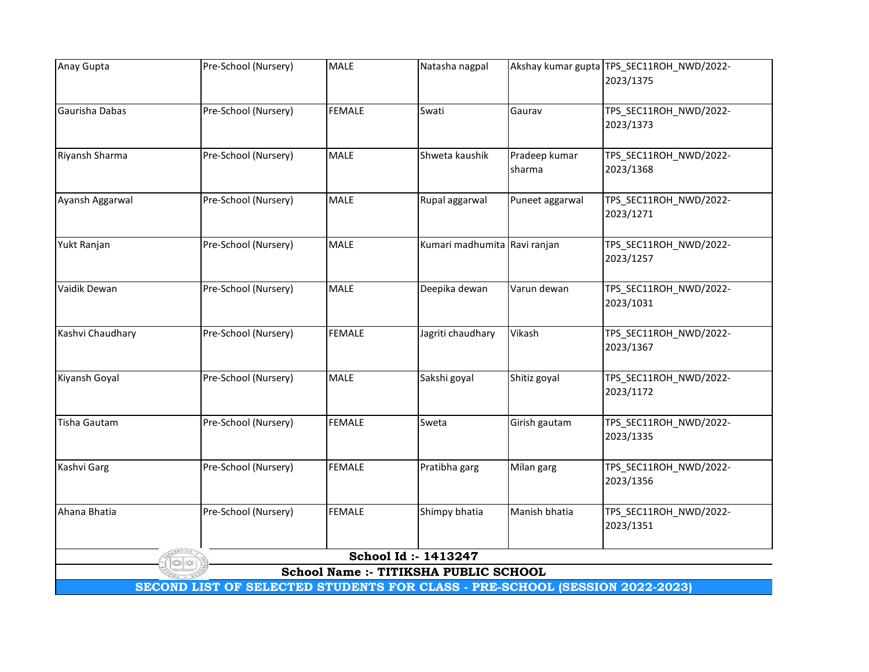| Anay Gupta          | Pre-School (Nursery)                                                        | <b>MALE</b>   | Natasha nagpal                        |                 | Akshay kumar gupta TPS_SEC11ROH_NWD/2022- |
|---------------------|-----------------------------------------------------------------------------|---------------|---------------------------------------|-----------------|-------------------------------------------|
|                     |                                                                             |               |                                       |                 | 2023/1375                                 |
|                     |                                                                             |               |                                       |                 |                                           |
| Gaurisha Dabas      | Pre-School (Nursery)                                                        | <b>FEMALE</b> | Swati                                 | Gaurav          | TPS_SEC11ROH_NWD/2022-                    |
|                     |                                                                             |               |                                       |                 | 2023/1373                                 |
|                     |                                                                             |               |                                       |                 |                                           |
| Riyansh Sharma      | Pre-School (Nursery)                                                        | <b>MALE</b>   | Shweta kaushik                        | Pradeep kumar   | TPS_SEC11ROH_NWD/2022-                    |
|                     |                                                                             |               |                                       | sharma          | 2023/1368                                 |
|                     |                                                                             |               |                                       |                 |                                           |
| Ayansh Aggarwal     | Pre-School (Nursery)                                                        | <b>MALE</b>   | Rupal aggarwal                        | Puneet aggarwal | TPS_SEC11ROH_NWD/2022-                    |
|                     |                                                                             |               |                                       |                 | 2023/1271                                 |
|                     |                                                                             |               |                                       |                 |                                           |
| Yukt Ranjan         | Pre-School (Nursery)                                                        | <b>MALE</b>   | Kumari madhumita Ravi ranjan          |                 | TPS_SEC11ROH_NWD/2022-                    |
|                     |                                                                             |               |                                       |                 | 2023/1257                                 |
|                     |                                                                             |               |                                       |                 |                                           |
| Vaidik Dewan        | Pre-School (Nursery)                                                        | <b>MALE</b>   | Deepika dewan                         | Varun dewan     | TPS_SEC11ROH_NWD/2022-                    |
|                     |                                                                             |               |                                       |                 | 2023/1031                                 |
|                     |                                                                             |               |                                       |                 |                                           |
| Kashvi Chaudhary    | Pre-School (Nursery)                                                        | <b>FEMALE</b> | Jagriti chaudhary                     | Vikash          | TPS_SEC11ROH_NWD/2022-                    |
|                     |                                                                             |               |                                       |                 | 2023/1367                                 |
|                     |                                                                             |               |                                       |                 |                                           |
| Kiyansh Goyal       | Pre-School (Nursery)                                                        | <b>MALE</b>   | Sakshi goyal                          | Shitiz goyal    | TPS_SEC11ROH_NWD/2022-                    |
|                     |                                                                             |               |                                       |                 | 2023/1172                                 |
|                     |                                                                             |               |                                       |                 |                                           |
| <b>Tisha Gautam</b> | Pre-School (Nursery)                                                        | <b>FEMALE</b> | Sweta                                 | Girish gautam   | TPS_SEC11ROH_NWD/2022-                    |
|                     |                                                                             |               |                                       |                 | 2023/1335                                 |
|                     |                                                                             |               |                                       |                 |                                           |
| Kashvi Garg         | Pre-School (Nursery)                                                        | <b>FEMALE</b> | Pratibha garg                         | Milan garg      | TPS_SEC11ROH_NWD/2022-<br>2023/1356       |
|                     |                                                                             |               |                                       |                 |                                           |
| Ahana Bhatia        | Pre-School (Nursery)                                                        | <b>FEMALE</b> | Shimpy bhatia                         | Manish bhatia   |                                           |
|                     |                                                                             |               |                                       |                 | TPS_SEC11ROH_NWD/2022-<br>2023/1351       |
|                     |                                                                             |               |                                       |                 |                                           |
|                     |                                                                             |               | School Id: - 1413247                  |                 |                                           |
|                     |                                                                             |               | School Name :- TITIKSHA PUBLIC SCHOOL |                 |                                           |
|                     | SECOND LIST OF SELECTED STUDENTS FOR CLASS - PRE-SCHOOL (SESSION 2022-2023) |               |                                       |                 |                                           |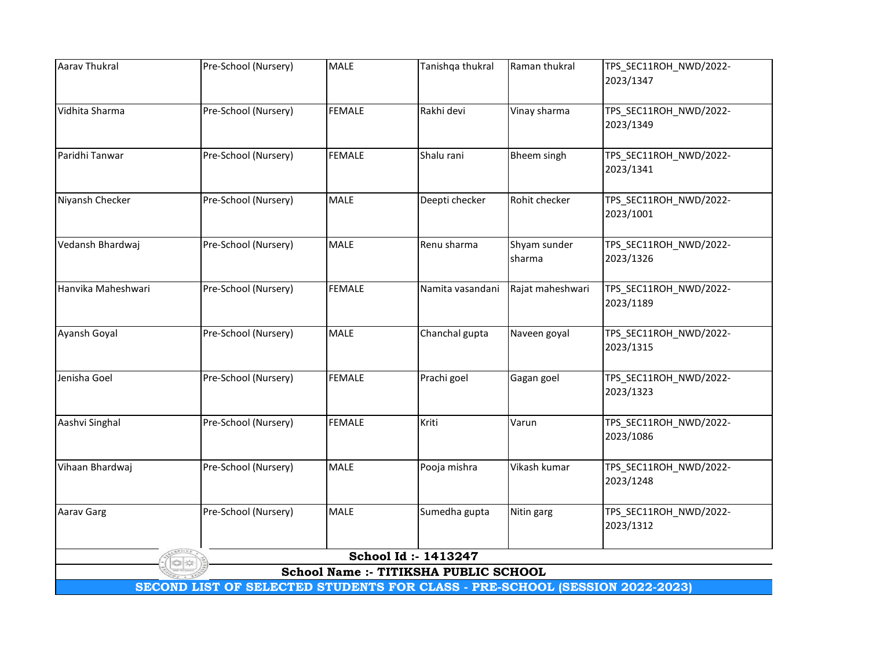| <b>Aarav Thukral</b> | Pre-School (Nursery)                                                        | MALE          | Tanishqa thukral                      | Raman thukral      | TPS_SEC11ROH_NWD/2022- |  |  |  |
|----------------------|-----------------------------------------------------------------------------|---------------|---------------------------------------|--------------------|------------------------|--|--|--|
|                      |                                                                             |               |                                       |                    | 2023/1347              |  |  |  |
| Vidhita Sharma       | Pre-School (Nursery)                                                        | <b>FEMALE</b> | Rakhi devi                            | Vinay sharma       | TPS_SEC11ROH_NWD/2022- |  |  |  |
|                      |                                                                             |               |                                       |                    | 2023/1349              |  |  |  |
| Paridhi Tanwar       | Pre-School (Nursery)                                                        | <b>FEMALE</b> | Shalu rani                            | <b>Bheem singh</b> | TPS_SEC11ROH_NWD/2022- |  |  |  |
|                      |                                                                             |               |                                       |                    | 2023/1341              |  |  |  |
| Niyansh Checker      | Pre-School (Nursery)                                                        | <b>MALE</b>   | Deepti checker                        | Rohit checker      | TPS_SEC11ROH_NWD/2022- |  |  |  |
|                      |                                                                             |               |                                       |                    | 2023/1001              |  |  |  |
| Vedansh Bhardwaj     | Pre-School (Nursery)                                                        | <b>MALE</b>   | Renu sharma                           | Shyam sunder       | TPS_SEC11ROH_NWD/2022- |  |  |  |
|                      |                                                                             |               |                                       | sharma             | 2023/1326              |  |  |  |
| Hanvika Maheshwari   | Pre-School (Nursery)                                                        | <b>FEMALE</b> | Namita vasandani                      | Rajat maheshwari   | TPS_SEC11ROH_NWD/2022- |  |  |  |
|                      |                                                                             |               |                                       |                    | 2023/1189              |  |  |  |
| Ayansh Goyal         | Pre-School (Nursery)                                                        | <b>MALE</b>   | Chanchal gupta                        | Naveen goyal       | TPS_SEC11ROH_NWD/2022- |  |  |  |
|                      |                                                                             |               |                                       |                    | 2023/1315              |  |  |  |
| Jenisha Goel         | Pre-School (Nursery)                                                        | <b>FEMALE</b> | Prachi goel                           | Gagan goel         | TPS_SEC11ROH_NWD/2022- |  |  |  |
|                      |                                                                             |               |                                       |                    | 2023/1323              |  |  |  |
| Aashvi Singhal       | Pre-School (Nursery)                                                        | <b>FEMALE</b> | Kriti                                 | Varun              | TPS_SEC11ROH_NWD/2022- |  |  |  |
|                      |                                                                             |               |                                       |                    | 2023/1086              |  |  |  |
| Vihaan Bhardwaj      | Pre-School (Nursery)                                                        | <b>MALE</b>   | Pooja mishra                          | Vikash kumar       | TPS_SEC11ROH_NWD/2022- |  |  |  |
|                      |                                                                             |               |                                       |                    | 2023/1248              |  |  |  |
| <b>Aarav Garg</b>    | Pre-School (Nursery)                                                        | <b>MALE</b>   | Sumedha gupta                         | Nitin garg         | TPS_SEC11ROH_NWD/2022- |  |  |  |
|                      |                                                                             |               |                                       |                    | 2023/1312              |  |  |  |
|                      |                                                                             |               | School Id: - 1413247                  |                    |                        |  |  |  |
|                      |                                                                             |               | School Name :- TITIKSHA PUBLIC SCHOOL |                    |                        |  |  |  |
|                      | SECOND LIST OF SELECTED STUDENTS FOR CLASS - PRE-SCHOOL (SESSION 2022-2023) |               |                                       |                    |                        |  |  |  |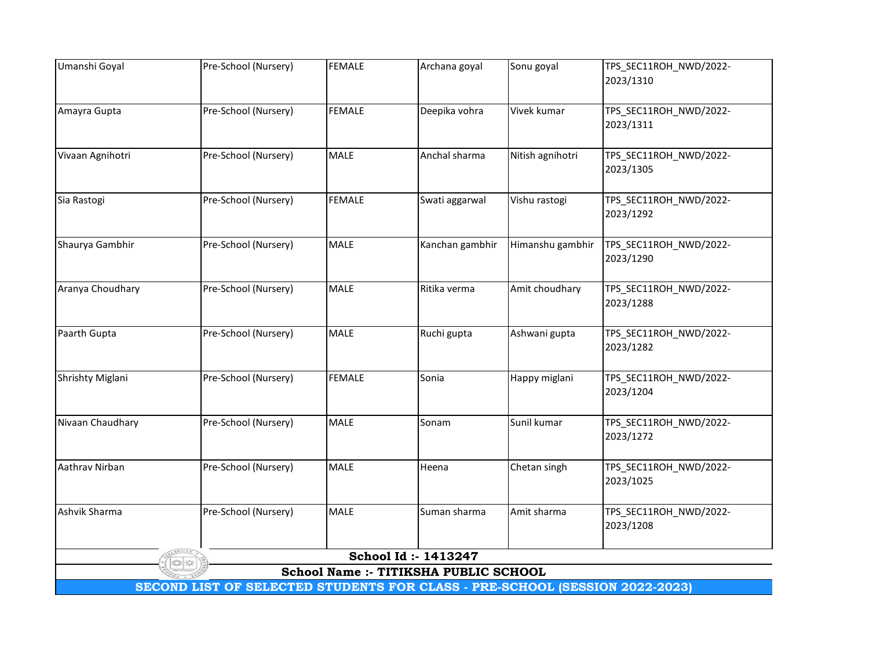| Umanshi Goyal                                                               | Pre-School (Nursery) | <b>FEMALE</b> | Archana goyal                         | Sonu goyal       | TPS_SEC11ROH_NWD/2022-              |  |  |
|-----------------------------------------------------------------------------|----------------------|---------------|---------------------------------------|------------------|-------------------------------------|--|--|
|                                                                             |                      |               |                                       |                  | 2023/1310                           |  |  |
| Amayra Gupta                                                                | Pre-School (Nursery) | <b>FEMALE</b> | Deepika vohra                         | Vivek kumar      | TPS_SEC11ROH_NWD/2022-              |  |  |
|                                                                             |                      |               |                                       |                  | 2023/1311                           |  |  |
|                                                                             |                      |               |                                       |                  |                                     |  |  |
| Vivaan Agnihotri                                                            | Pre-School (Nursery) | <b>MALE</b>   | Anchal sharma                         | Nitish agnihotri | TPS_SEC11ROH_NWD/2022-<br>2023/1305 |  |  |
|                                                                             |                      |               |                                       |                  |                                     |  |  |
| Sia Rastogi                                                                 | Pre-School (Nursery) | <b>FEMALE</b> | Swati aggarwal                        | Vishu rastogi    | TPS_SEC11ROH_NWD/2022-              |  |  |
|                                                                             |                      |               |                                       |                  | 2023/1292                           |  |  |
| Shaurya Gambhir                                                             | Pre-School (Nursery) | <b>MALE</b>   | Kanchan gambhir                       | Himanshu gambhir | TPS_SEC11ROH_NWD/2022-              |  |  |
|                                                                             |                      |               |                                       |                  | 2023/1290                           |  |  |
|                                                                             |                      |               |                                       |                  |                                     |  |  |
| Aranya Choudhary                                                            | Pre-School (Nursery) | MALE          | Ritika verma                          | Amit choudhary   | TPS_SEC11ROH_NWD/2022-<br>2023/1288 |  |  |
|                                                                             |                      |               |                                       |                  |                                     |  |  |
| Paarth Gupta                                                                | Pre-School (Nursery) | <b>MALE</b>   | Ruchi gupta                           | Ashwani gupta    | TPS_SEC11ROH_NWD/2022-              |  |  |
|                                                                             |                      |               |                                       |                  | 2023/1282                           |  |  |
| Shrishty Miglani                                                            | Pre-School (Nursery) | <b>FEMALE</b> | Sonia                                 | Happy miglani    | TPS_SEC11ROH_NWD/2022-              |  |  |
|                                                                             |                      |               |                                       |                  | 2023/1204                           |  |  |
| Nivaan Chaudhary                                                            | Pre-School (Nursery) | <b>MALE</b>   | Sonam                                 | Sunil kumar      | TPS_SEC11ROH_NWD/2022-              |  |  |
|                                                                             |                      |               |                                       |                  | 2023/1272                           |  |  |
|                                                                             |                      |               |                                       |                  |                                     |  |  |
| Aathrav Nirban                                                              | Pre-School (Nursery) | <b>MALE</b>   | Heena                                 | Chetan singh     | TPS_SEC11ROH_NWD/2022-              |  |  |
|                                                                             |                      |               |                                       |                  | 2023/1025                           |  |  |
| Ashvik Sharma                                                               | Pre-School (Nursery) | <b>MALE</b>   | Suman sharma                          | Amit sharma      | TPS_SEC11ROH_NWD/2022-              |  |  |
|                                                                             |                      |               |                                       |                  | 2023/1208                           |  |  |
|                                                                             |                      |               | School Id: - 1413247                  |                  |                                     |  |  |
|                                                                             |                      |               | School Name :- TITIKSHA PUBLIC SCHOOL |                  |                                     |  |  |
| SECOND LIST OF SELECTED STUDENTS FOR CLASS - PRE-SCHOOL (SESSION 2022-2023) |                      |               |                                       |                  |                                     |  |  |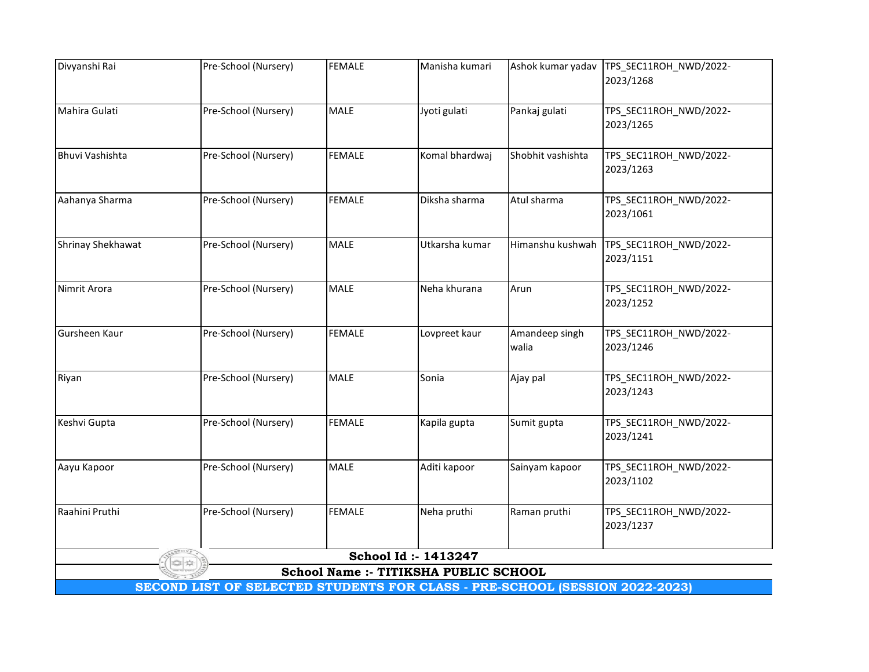| Divyanshi Rai          | Pre-School (Nursery)                                                        | <b>FEMALE</b> | Manisha kumari                                                | Ashok kumar yadav       | TPS_SEC11ROH_NWD/2022-              |
|------------------------|-----------------------------------------------------------------------------|---------------|---------------------------------------------------------------|-------------------------|-------------------------------------|
|                        |                                                                             |               |                                                               |                         | 2023/1268                           |
| Mahira Gulati          | Pre-School (Nursery)                                                        | <b>MALE</b>   | Jyoti gulati                                                  | Pankaj gulati           | TPS_SEC11ROH_NWD/2022-              |
|                        |                                                                             |               |                                                               |                         | 2023/1265                           |
|                        |                                                                             |               |                                                               |                         |                                     |
| <b>Bhuvi Vashishta</b> | Pre-School (Nursery)                                                        | <b>FEMALE</b> | Komal bhardwaj                                                | Shobhit vashishta       | TPS_SEC11ROH_NWD/2022-              |
|                        |                                                                             |               |                                                               |                         | 2023/1263                           |
|                        |                                                                             |               |                                                               |                         |                                     |
| Aahanya Sharma         | Pre-School (Nursery)                                                        | <b>FEMALE</b> | Diksha sharma                                                 | Atul sharma             | TPS_SEC11ROH_NWD/2022-              |
|                        |                                                                             |               |                                                               |                         | 2023/1061                           |
| Shrinay Shekhawat      | Pre-School (Nursery)                                                        | <b>MALE</b>   | Utkarsha kumar                                                | Himanshu kushwah        | TPS_SEC11ROH_NWD/2022-              |
|                        |                                                                             |               |                                                               |                         | 2023/1151                           |
|                        |                                                                             |               |                                                               |                         |                                     |
| Nimrit Arora           | Pre-School (Nursery)                                                        | <b>MALE</b>   | Neha khurana                                                  | Arun                    | TPS_SEC11ROH_NWD/2022-              |
|                        |                                                                             |               |                                                               |                         | 2023/1252                           |
|                        |                                                                             |               |                                                               |                         |                                     |
| Gursheen Kaur          | Pre-School (Nursery)                                                        | <b>FEMALE</b> | Lovpreet kaur                                                 | Amandeep singh<br>walia | TPS_SEC11ROH_NWD/2022-<br>2023/1246 |
|                        |                                                                             |               |                                                               |                         |                                     |
| Riyan                  | Pre-School (Nursery)                                                        | <b>MALE</b>   | Sonia                                                         | Ajay pal                | TPS_SEC11ROH_NWD/2022-              |
|                        |                                                                             |               |                                                               |                         | 2023/1243                           |
|                        |                                                                             |               |                                                               |                         |                                     |
| Keshvi Gupta           | Pre-School (Nursery)                                                        | <b>FEMALE</b> | Kapila gupta                                                  | Sumit gupta             | TPS_SEC11ROH_NWD/2022-              |
|                        |                                                                             |               |                                                               |                         | 2023/1241                           |
| Aayu Kapoor            | Pre-School (Nursery)                                                        | <b>MALE</b>   | Aditi kapoor                                                  | Sainyam kapoor          | TPS_SEC11ROH_NWD/2022-              |
|                        |                                                                             |               |                                                               |                         | 2023/1102                           |
|                        |                                                                             |               |                                                               |                         |                                     |
| Raahini Pruthi         | Pre-School (Nursery)                                                        | <b>FEMALE</b> | Neha pruthi                                                   | Raman pruthi            | TPS_SEC11ROH_NWD/2022-              |
|                        |                                                                             |               |                                                               |                         | 2023/1237                           |
|                        |                                                                             |               |                                                               |                         |                                     |
|                        |                                                                             |               | School Id: - 1413247<br>School Name :- TITIKSHA PUBLIC SCHOOL |                         |                                     |
|                        | SECOND LIST OF SELECTED STUDENTS FOR CLASS - PRE-SCHOOL (SESSION 2022-2023) |               |                                                               |                         |                                     |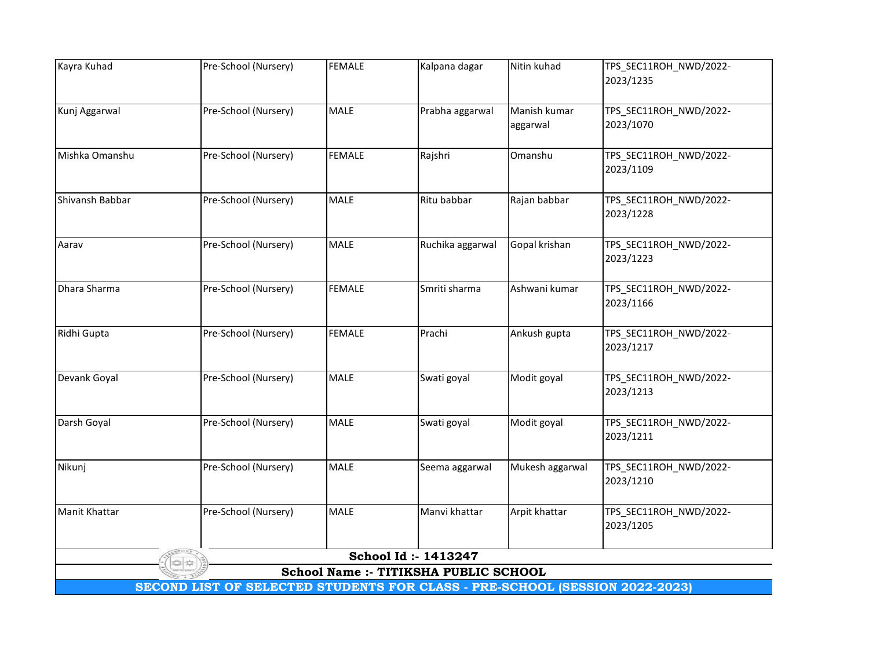| Kayra Kuhad     | Pre-School (Nursery)                                                        | <b>FEMALE</b> | Kalpana dagar                         | Nitin kuhad     | TPS_SEC11ROH_NWD/2022- |
|-----------------|-----------------------------------------------------------------------------|---------------|---------------------------------------|-----------------|------------------------|
|                 |                                                                             |               |                                       |                 | 2023/1235              |
| Kunj Aggarwal   | Pre-School (Nursery)                                                        | <b>MALE</b>   | Prabha aggarwal                       | Manish kumar    | TPS_SEC11ROH_NWD/2022- |
|                 |                                                                             |               |                                       | aggarwal        | 2023/1070              |
| Mishka Omanshu  | Pre-School (Nursery)                                                        | <b>FEMALE</b> | Rajshri                               | Omanshu         | TPS_SEC11ROH_NWD/2022- |
|                 |                                                                             |               |                                       |                 | 2023/1109              |
| Shivansh Babbar | Pre-School (Nursery)                                                        | <b>MALE</b>   | Ritu babbar                           | Rajan babbar    | TPS_SEC11ROH_NWD/2022- |
|                 |                                                                             |               |                                       |                 | 2023/1228              |
| Aarav           | Pre-School (Nursery)                                                        | <b>MALE</b>   | Ruchika aggarwal                      | Gopal krishan   | TPS_SEC11ROH_NWD/2022- |
|                 |                                                                             |               |                                       |                 | 2023/1223              |
| Dhara Sharma    | Pre-School (Nursery)                                                        | <b>FEMALE</b> | Smriti sharma                         | Ashwani kumar   | TPS_SEC11ROH_NWD/2022- |
|                 |                                                                             |               |                                       |                 | 2023/1166              |
| Ridhi Gupta     | Pre-School (Nursery)                                                        | <b>FEMALE</b> | Prachi                                | Ankush gupta    | TPS_SEC11ROH_NWD/2022- |
|                 |                                                                             |               |                                       |                 | 2023/1217              |
| Devank Goyal    | Pre-School (Nursery)                                                        | <b>MALE</b>   | Swati goyal                           | Modit goyal     | TPS_SEC11ROH_NWD/2022- |
|                 |                                                                             |               |                                       |                 | 2023/1213              |
| Darsh Goyal     | Pre-School (Nursery)                                                        | <b>MALE</b>   | Swati goyal                           | Modit goyal     | TPS_SEC11ROH_NWD/2022- |
|                 |                                                                             |               |                                       |                 | 2023/1211              |
| Nikunj          | Pre-School (Nursery)                                                        | MALE          | Seema aggarwal                        | Mukesh aggarwal | TPS_SEC11ROH_NWD/2022- |
|                 |                                                                             |               |                                       |                 | 2023/1210              |
| Manit Khattar   | Pre-School (Nursery)                                                        | <b>MALE</b>   | Manvi khattar                         | Arpit khattar   | TPS_SEC11ROH_NWD/2022- |
|                 |                                                                             |               |                                       |                 | 2023/1205              |
|                 |                                                                             |               | School Id: - 1413247                  |                 |                        |
|                 | SECOND LIST OF SELECTED STUDENTS FOR CLASS - PRE-SCHOOL (SESSION 2022-2023) |               | School Name :- TITIKSHA PUBLIC SCHOOL |                 |                        |
|                 |                                                                             |               |                                       |                 |                        |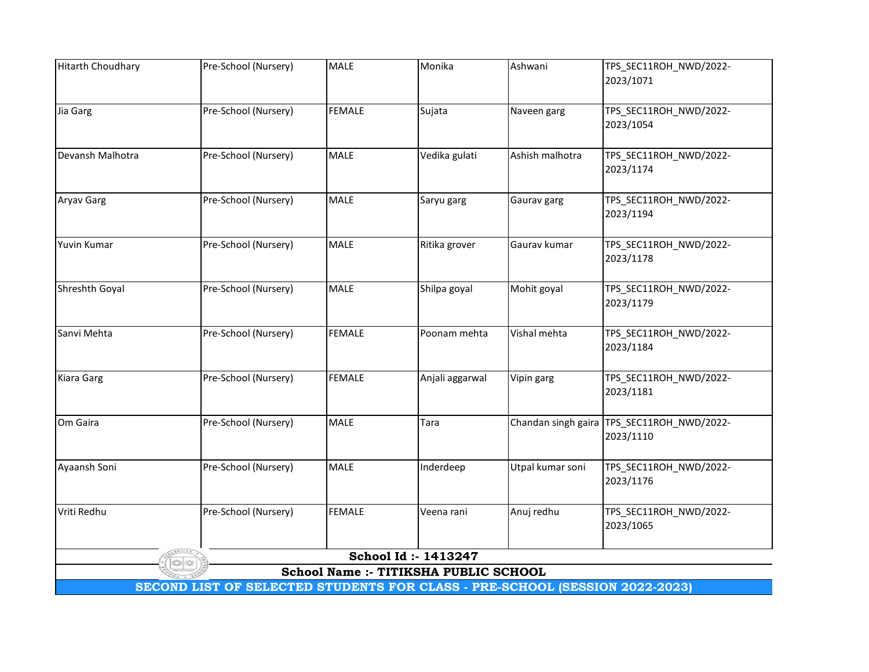| 2023/1071<br>Pre-School (Nursery)<br><b>FEMALE</b><br>TPS_SEC11ROH_NWD/2022-<br>Sujata<br>Naveen garg<br>2023/1054<br>Pre-School (Nursery)<br>Vedika gulati<br><b>MALE</b><br>Ashish malhotra<br>TPS_SEC11ROH_NWD/2022-<br>2023/1174<br>Pre-School (Nursery)<br><b>MALE</b><br>TPS_SEC11ROH_NWD/2022-<br>Saryu garg<br>Gaurav garg<br>2023/1194<br>Pre-School (Nursery)<br>MALE<br>Ritika grover<br>TPS_SEC11ROH_NWD/2022-<br>Gaurav kumar<br>2023/1178<br>Pre-School (Nursery)<br>MALE<br>Mohit goyal<br>TPS_SEC11ROH_NWD/2022-<br>Shilpa goyal<br>2023/1179<br><b>FEMALE</b><br>Pre-School (Nursery)<br>Vishal mehta<br>TPS_SEC11ROH_NWD/2022-<br>Poonam mehta<br>2023/1184<br>Pre-School (Nursery)<br><b>FEMALE</b><br>TPS_SEC11ROH_NWD/2022-<br>Anjali aggarwal<br>Vipin garg<br>2023/1181<br>Pre-School (Nursery)<br><b>MALE</b><br>Chandan singh gaira   TPS_SEC11ROH_NWD/2022-<br>Tara<br>2023/1110<br>Pre-School (Nursery)<br><b>MALE</b><br>Utpal kumar soni<br>TPS_SEC11ROH_NWD/2022-<br>Inderdeep<br>2023/1176<br><b>FEMALE</b><br>Pre-School (Nursery)<br>Anuj redhu<br>TPS_SEC11ROH_NWD/2022-<br>Veena rani<br>2023/1065<br>School Id: - 1413247<br>School Name :- TITIKSHA PUBLIC SCHOOL | <b>Hitarth Choudhary</b> | Pre-School (Nursery) | <b>MALE</b> | Monika | Ashwani | TPS_SEC11ROH_NWD/2022- |
|--------------------------------------------------------------------------------------------------------------------------------------------------------------------------------------------------------------------------------------------------------------------------------------------------------------------------------------------------------------------------------------------------------------------------------------------------------------------------------------------------------------------------------------------------------------------------------------------------------------------------------------------------------------------------------------------------------------------------------------------------------------------------------------------------------------------------------------------------------------------------------------------------------------------------------------------------------------------------------------------------------------------------------------------------------------------------------------------------------------------------------------------------------------------------------------------------------|--------------------------|----------------------|-------------|--------|---------|------------------------|
|                                                                                                                                                                                                                                                                                                                                                                                                                                                                                                                                                                                                                                                                                                                                                                                                                                                                                                                                                                                                                                                                                                                                                                                                        |                          |                      |             |        |         |                        |
|                                                                                                                                                                                                                                                                                                                                                                                                                                                                                                                                                                                                                                                                                                                                                                                                                                                                                                                                                                                                                                                                                                                                                                                                        | Jia Garg                 |                      |             |        |         |                        |
|                                                                                                                                                                                                                                                                                                                                                                                                                                                                                                                                                                                                                                                                                                                                                                                                                                                                                                                                                                                                                                                                                                                                                                                                        |                          |                      |             |        |         |                        |
|                                                                                                                                                                                                                                                                                                                                                                                                                                                                                                                                                                                                                                                                                                                                                                                                                                                                                                                                                                                                                                                                                                                                                                                                        | Devansh Malhotra         |                      |             |        |         |                        |
|                                                                                                                                                                                                                                                                                                                                                                                                                                                                                                                                                                                                                                                                                                                                                                                                                                                                                                                                                                                                                                                                                                                                                                                                        |                          |                      |             |        |         |                        |
|                                                                                                                                                                                                                                                                                                                                                                                                                                                                                                                                                                                                                                                                                                                                                                                                                                                                                                                                                                                                                                                                                                                                                                                                        | <b>Aryav Garg</b>        |                      |             |        |         |                        |
|                                                                                                                                                                                                                                                                                                                                                                                                                                                                                                                                                                                                                                                                                                                                                                                                                                                                                                                                                                                                                                                                                                                                                                                                        |                          |                      |             |        |         |                        |
|                                                                                                                                                                                                                                                                                                                                                                                                                                                                                                                                                                                                                                                                                                                                                                                                                                                                                                                                                                                                                                                                                                                                                                                                        | Yuvin Kumar              |                      |             |        |         |                        |
|                                                                                                                                                                                                                                                                                                                                                                                                                                                                                                                                                                                                                                                                                                                                                                                                                                                                                                                                                                                                                                                                                                                                                                                                        |                          |                      |             |        |         |                        |
|                                                                                                                                                                                                                                                                                                                                                                                                                                                                                                                                                                                                                                                                                                                                                                                                                                                                                                                                                                                                                                                                                                                                                                                                        | Shreshth Goyal           |                      |             |        |         |                        |
|                                                                                                                                                                                                                                                                                                                                                                                                                                                                                                                                                                                                                                                                                                                                                                                                                                                                                                                                                                                                                                                                                                                                                                                                        |                          |                      |             |        |         |                        |
|                                                                                                                                                                                                                                                                                                                                                                                                                                                                                                                                                                                                                                                                                                                                                                                                                                                                                                                                                                                                                                                                                                                                                                                                        | Sanvi Mehta              |                      |             |        |         |                        |
|                                                                                                                                                                                                                                                                                                                                                                                                                                                                                                                                                                                                                                                                                                                                                                                                                                                                                                                                                                                                                                                                                                                                                                                                        |                          |                      |             |        |         |                        |
|                                                                                                                                                                                                                                                                                                                                                                                                                                                                                                                                                                                                                                                                                                                                                                                                                                                                                                                                                                                                                                                                                                                                                                                                        | Kiara Garg               |                      |             |        |         |                        |
|                                                                                                                                                                                                                                                                                                                                                                                                                                                                                                                                                                                                                                                                                                                                                                                                                                                                                                                                                                                                                                                                                                                                                                                                        |                          |                      |             |        |         |                        |
|                                                                                                                                                                                                                                                                                                                                                                                                                                                                                                                                                                                                                                                                                                                                                                                                                                                                                                                                                                                                                                                                                                                                                                                                        | Om Gaira                 |                      |             |        |         |                        |
|                                                                                                                                                                                                                                                                                                                                                                                                                                                                                                                                                                                                                                                                                                                                                                                                                                                                                                                                                                                                                                                                                                                                                                                                        |                          |                      |             |        |         |                        |
|                                                                                                                                                                                                                                                                                                                                                                                                                                                                                                                                                                                                                                                                                                                                                                                                                                                                                                                                                                                                                                                                                                                                                                                                        | Ayaansh Soni             |                      |             |        |         |                        |
|                                                                                                                                                                                                                                                                                                                                                                                                                                                                                                                                                                                                                                                                                                                                                                                                                                                                                                                                                                                                                                                                                                                                                                                                        |                          |                      |             |        |         |                        |
|                                                                                                                                                                                                                                                                                                                                                                                                                                                                                                                                                                                                                                                                                                                                                                                                                                                                                                                                                                                                                                                                                                                                                                                                        | Vriti Redhu              |                      |             |        |         |                        |
|                                                                                                                                                                                                                                                                                                                                                                                                                                                                                                                                                                                                                                                                                                                                                                                                                                                                                                                                                                                                                                                                                                                                                                                                        |                          |                      |             |        |         |                        |
|                                                                                                                                                                                                                                                                                                                                                                                                                                                                                                                                                                                                                                                                                                                                                                                                                                                                                                                                                                                                                                                                                                                                                                                                        |                          |                      |             |        |         |                        |
| SECOND LIST OF SELECTED STUDENTS FOR CLASS - PRE-SCHOOL (SESSION 2022-2023)                                                                                                                                                                                                                                                                                                                                                                                                                                                                                                                                                                                                                                                                                                                                                                                                                                                                                                                                                                                                                                                                                                                            |                          |                      |             |        |         |                        |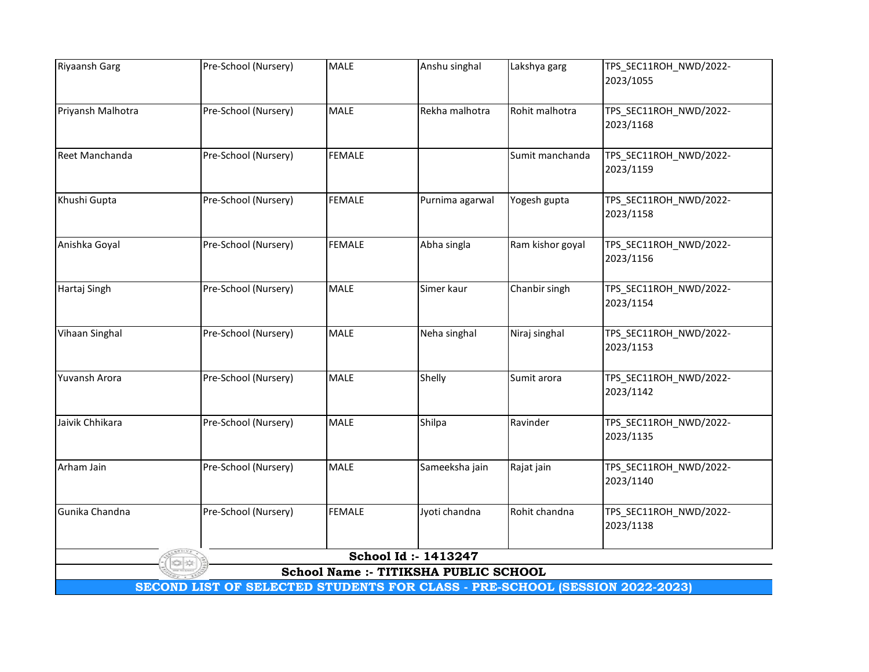| <b>Riyaansh Garg</b> | Pre-School (Nursery)                                                        | <b>MALE</b>   | Anshu singhal                         | Lakshya garg     | TPS_SEC11ROH_NWD/2022- |
|----------------------|-----------------------------------------------------------------------------|---------------|---------------------------------------|------------------|------------------------|
|                      |                                                                             |               |                                       |                  | 2023/1055              |
| Priyansh Malhotra    | Pre-School (Nursery)                                                        | <b>MALE</b>   | Rekha malhotra                        | Rohit malhotra   | TPS_SEC11ROH_NWD/2022- |
|                      |                                                                             |               |                                       |                  | 2023/1168              |
| Reet Manchanda       | Pre-School (Nursery)                                                        | <b>FEMALE</b> |                                       | Sumit manchanda  | TPS_SEC11ROH_NWD/2022- |
|                      |                                                                             |               |                                       |                  | 2023/1159              |
| Khushi Gupta         | Pre-School (Nursery)                                                        | <b>FEMALE</b> | Purnima agarwal                       | Yogesh gupta     | TPS_SEC11ROH_NWD/2022- |
|                      |                                                                             |               |                                       |                  | 2023/1158              |
| Anishka Goyal        | Pre-School (Nursery)                                                        | <b>FEMALE</b> | Abha singla                           | Ram kishor goyal | TPS_SEC11ROH_NWD/2022- |
|                      |                                                                             |               |                                       |                  | 2023/1156              |
| Hartaj Singh         | Pre-School (Nursery)                                                        | <b>MALE</b>   | Simer kaur                            | Chanbir singh    | TPS_SEC11ROH_NWD/2022- |
|                      |                                                                             |               |                                       |                  | 2023/1154              |
| Vihaan Singhal       | Pre-School (Nursery)                                                        | <b>MALE</b>   | Neha singhal                          | Niraj singhal    | TPS_SEC11ROH_NWD/2022- |
|                      |                                                                             |               |                                       |                  | 2023/1153              |
| Yuvansh Arora        | Pre-School (Nursery)                                                        | <b>MALE</b>   | Shelly                                | Sumit arora      | TPS_SEC11ROH_NWD/2022- |
|                      |                                                                             |               |                                       |                  | 2023/1142              |
| Jaivik Chhikara      | Pre-School (Nursery)                                                        | <b>MALE</b>   | Shilpa                                | Ravinder         | TPS_SEC11ROH_NWD/2022- |
|                      |                                                                             |               |                                       |                  | 2023/1135              |
| Arham Jain           | Pre-School (Nursery)                                                        | <b>MALE</b>   | Sameeksha jain                        | Rajat jain       | TPS_SEC11ROH_NWD/2022- |
|                      |                                                                             |               |                                       |                  | 2023/1140              |
| Gunika Chandna       | Pre-School (Nursery)                                                        | <b>FEMALE</b> | Jyoti chandna                         | Rohit chandna    | TPS_SEC11ROH_NWD/2022- |
|                      |                                                                             |               |                                       |                  | 2023/1138              |
|                      |                                                                             |               | School Id: - 1413247                  |                  |                        |
|                      |                                                                             |               | School Name :- TITIKSHA PUBLIC SCHOOL |                  |                        |
|                      | SECOND LIST OF SELECTED STUDENTS FOR CLASS - PRE-SCHOOL (SESSION 2022-2023) |               |                                       |                  |                        |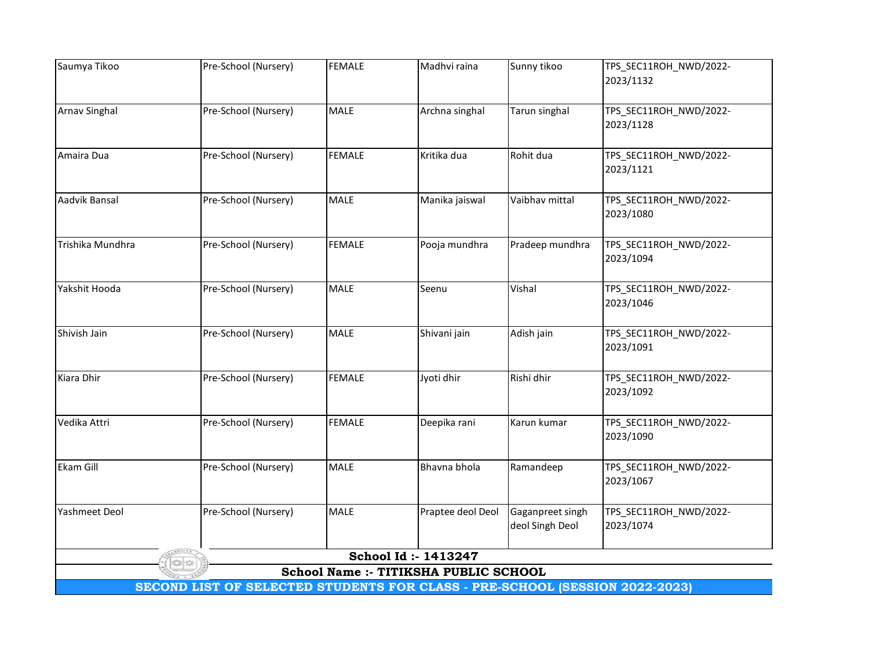| Saumya Tikoo         | Pre-School (Nursery) | <b>FEMALE</b> | Madhvi raina                          | Sunny tikoo      | TPS_SEC11ROH_NWD/2022-                                                      |  |  |  |  |  |  |  |
|----------------------|----------------------|---------------|---------------------------------------|------------------|-----------------------------------------------------------------------------|--|--|--|--|--|--|--|
|                      |                      |               |                                       |                  | 2023/1132                                                                   |  |  |  |  |  |  |  |
| <b>Arnav Singhal</b> | Pre-School (Nursery) | <b>MALE</b>   | Archna singhal                        | Tarun singhal    | TPS_SEC11ROH_NWD/2022-                                                      |  |  |  |  |  |  |  |
|                      |                      |               |                                       |                  | 2023/1128                                                                   |  |  |  |  |  |  |  |
| Amaira Dua           | Pre-School (Nursery) | <b>FEMALE</b> | Kritika dua                           | Rohit dua        | TPS_SEC11ROH_NWD/2022-                                                      |  |  |  |  |  |  |  |
|                      |                      |               |                                       |                  | 2023/1121                                                                   |  |  |  |  |  |  |  |
| Aadvik Bansal        | Pre-School (Nursery) | <b>MALE</b>   | Manika jaiswal                        | Vaibhav mittal   | TPS_SEC11ROH_NWD/2022-                                                      |  |  |  |  |  |  |  |
|                      |                      |               |                                       |                  | 2023/1080                                                                   |  |  |  |  |  |  |  |
| Trishika Mundhra     | Pre-School (Nursery) | <b>FEMALE</b> | Pooja mundhra                         | Pradeep mundhra  | TPS_SEC11ROH_NWD/2022-                                                      |  |  |  |  |  |  |  |
|                      |                      |               |                                       |                  | 2023/1094                                                                   |  |  |  |  |  |  |  |
| Yakshit Hooda        | Pre-School (Nursery) | <b>MALE</b>   | Seenu                                 | Vishal           | TPS_SEC11ROH_NWD/2022-                                                      |  |  |  |  |  |  |  |
|                      |                      |               |                                       |                  | 2023/1046                                                                   |  |  |  |  |  |  |  |
| Shivish Jain         | Pre-School (Nursery) | <b>MALE</b>   | Shivani jain                          | Adish jain       | TPS_SEC11ROH_NWD/2022-                                                      |  |  |  |  |  |  |  |
|                      |                      |               |                                       |                  | 2023/1091                                                                   |  |  |  |  |  |  |  |
| Kiara Dhir           | Pre-School (Nursery) | <b>FEMALE</b> | Jyoti dhir                            | Rishi dhir       | TPS_SEC11ROH_NWD/2022-                                                      |  |  |  |  |  |  |  |
|                      |                      |               |                                       |                  | 2023/1092                                                                   |  |  |  |  |  |  |  |
| Vedika Attri         | Pre-School (Nursery) | <b>FEMALE</b> | Deepika rani                          | Karun kumar      | TPS_SEC11ROH_NWD/2022-                                                      |  |  |  |  |  |  |  |
|                      |                      |               |                                       |                  | 2023/1090                                                                   |  |  |  |  |  |  |  |
| Ekam Gill            | Pre-School (Nursery) | <b>MALE</b>   | Bhavna bhola                          | Ramandeep        | TPS_SEC11ROH_NWD/2022-                                                      |  |  |  |  |  |  |  |
|                      |                      |               |                                       |                  | 2023/1067                                                                   |  |  |  |  |  |  |  |
| <b>Yashmeet Deol</b> | Pre-School (Nursery) | <b>MALE</b>   | Praptee deol Deol                     | Gaganpreet singh | TPS_SEC11ROH_NWD/2022-                                                      |  |  |  |  |  |  |  |
|                      |                      |               |                                       | deol Singh Deol  | 2023/1074                                                                   |  |  |  |  |  |  |  |
|                      |                      |               | School Id: - 1413247                  |                  |                                                                             |  |  |  |  |  |  |  |
|                      |                      |               | School Name :- TITIKSHA PUBLIC SCHOOL |                  |                                                                             |  |  |  |  |  |  |  |
|                      |                      |               |                                       |                  | SECOND LIST OF SELECTED STUDENTS FOR CLASS - PRE-SCHOOL (SESSION 2022-2023) |  |  |  |  |  |  |  |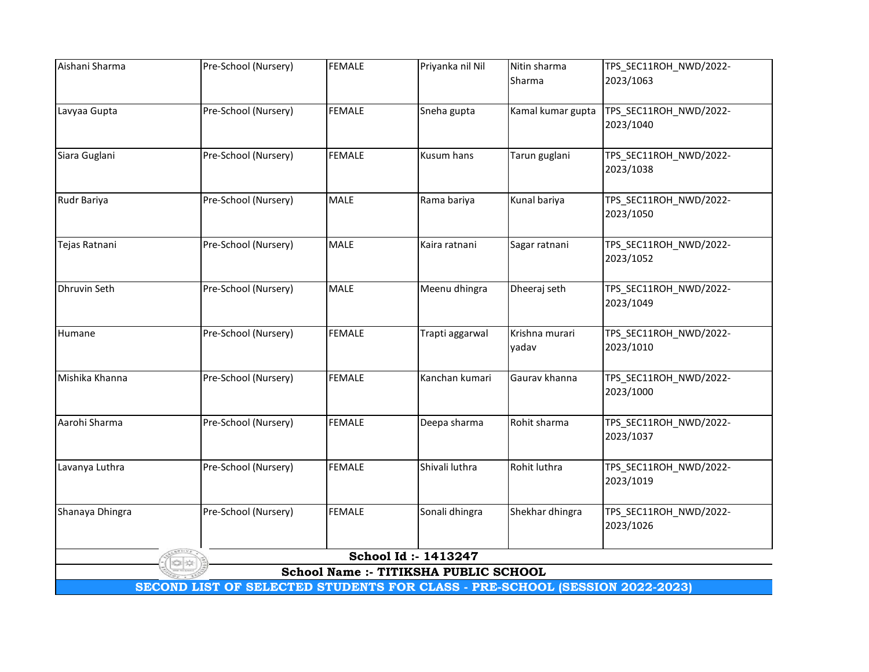| Aishani Sharma                                                              | Pre-School (Nursery) | <b>FEMALE</b> | Priyanka nil Nil | Nitin sharma      | TPS_SEC11ROH_NWD/2022-              |  |  |  |  |
|-----------------------------------------------------------------------------|----------------------|---------------|------------------|-------------------|-------------------------------------|--|--|--|--|
|                                                                             |                      |               |                  | Sharma            | 2023/1063                           |  |  |  |  |
|                                                                             |                      |               |                  |                   |                                     |  |  |  |  |
| Lavyaa Gupta                                                                | Pre-School (Nursery) | <b>FEMALE</b> | Sneha gupta      | Kamal kumar gupta | TPS_SEC11ROH_NWD/2022-<br>2023/1040 |  |  |  |  |
|                                                                             |                      |               |                  |                   |                                     |  |  |  |  |
| Siara Guglani                                                               | Pre-School (Nursery) | <b>FEMALE</b> | Kusum hans       | Tarun guglani     | TPS_SEC11ROH_NWD/2022-              |  |  |  |  |
|                                                                             |                      |               |                  |                   | 2023/1038                           |  |  |  |  |
|                                                                             |                      |               |                  |                   |                                     |  |  |  |  |
| Rudr Bariya                                                                 | Pre-School (Nursery) | <b>MALE</b>   | Rama bariya      | Kunal bariya      | TPS_SEC11ROH_NWD/2022-              |  |  |  |  |
|                                                                             |                      |               |                  |                   | 2023/1050                           |  |  |  |  |
| Tejas Ratnani                                                               | Pre-School (Nursery) | <b>MALE</b>   | Kaira ratnani    | Sagar ratnani     | TPS_SEC11ROH_NWD/2022-              |  |  |  |  |
|                                                                             |                      |               |                  |                   | 2023/1052                           |  |  |  |  |
|                                                                             |                      |               |                  |                   |                                     |  |  |  |  |
| Dhruvin Seth                                                                | Pre-School (Nursery) | MALE          | Meenu dhingra    | Dheeraj seth      | TPS_SEC11ROH_NWD/2022-              |  |  |  |  |
|                                                                             |                      |               |                  |                   | 2023/1049                           |  |  |  |  |
| Humane                                                                      | Pre-School (Nursery) | <b>FEMALE</b> | Trapti aggarwal  | Krishna murari    | TPS_SEC11ROH_NWD/2022-              |  |  |  |  |
|                                                                             |                      |               |                  | yadav             | 2023/1010                           |  |  |  |  |
|                                                                             |                      |               |                  |                   |                                     |  |  |  |  |
| Mishika Khanna                                                              | Pre-School (Nursery) | <b>FEMALE</b> | Kanchan kumari   | Gaurav khanna     | TPS_SEC11ROH_NWD/2022-              |  |  |  |  |
|                                                                             |                      |               |                  |                   | 2023/1000                           |  |  |  |  |
| Aarohi Sharma                                                               | Pre-School (Nursery) | <b>FEMALE</b> | Deepa sharma     | Rohit sharma      | TPS_SEC11ROH_NWD/2022-              |  |  |  |  |
|                                                                             |                      |               |                  |                   | 2023/1037                           |  |  |  |  |
|                                                                             |                      |               |                  |                   |                                     |  |  |  |  |
| Lavanya Luthra                                                              | Pre-School (Nursery) | <b>FEMALE</b> | Shivali luthra   | Rohit luthra      | TPS_SEC11ROH_NWD/2022-              |  |  |  |  |
|                                                                             |                      |               |                  |                   | 2023/1019                           |  |  |  |  |
| Shanaya Dhingra                                                             | Pre-School (Nursery) | <b>FEMALE</b> | Sonali dhingra   | Shekhar dhingra   | TPS_SEC11ROH_NWD/2022-              |  |  |  |  |
|                                                                             |                      |               |                  |                   | 2023/1026                           |  |  |  |  |
|                                                                             |                      |               |                  |                   |                                     |  |  |  |  |
| School Id: - 1413247                                                        |                      |               |                  |                   |                                     |  |  |  |  |
| School Name :- TITIKSHA PUBLIC SCHOOL                                       |                      |               |                  |                   |                                     |  |  |  |  |
| SECOND LIST OF SELECTED STUDENTS FOR CLASS - PRE-SCHOOL (SESSION 2022-2023) |                      |               |                  |                   |                                     |  |  |  |  |